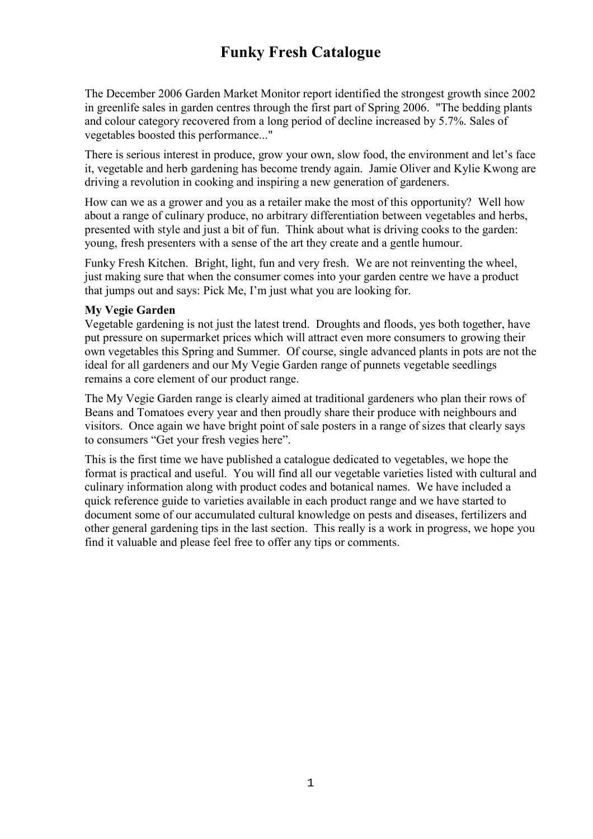## **Funky Fresh Catalogue**

The December 2006 Garden Market Monitor report identified the strongest growth since 2002 in greenlife sales in garden centres through the first part of Spring 2006. "The bedding plants and colour category recovered from a long period of decline increased by 5.7%. Sales of vegetables boosted this performance..."

There is serious interest in produce, grow your own, slow food, the environment and let's face it, vegetable and herb gardening has become trendy again. Jamie Oliver and Kylie Kwong are driving a revolution in cooking and inspiring a new generation of gardeners.

How can we as a grower and you as a retailer make the most of this opportunity? Well how about a range of culinary produce, no arbitrary differentiation between vegetables and herbs, presented with style and just a bit of fun. Think about what is driving cooks to the garden: young, fresh presenters with a sense of the art they create and a gentle humour.

Funky Fresh Kitchen. Bright, light, fun and very fresh. We are not reinventing the wheel, just making sure that when the consumer comes into your garden centre we have a product that jumps out and says: Pick Me, I'm just what you are looking for.

#### **My Vegie Garden**

Vegetable gardening is not just the latest trend. Droughts and floods, yes both together, have put pressure on supermarket prices which will attract even more consumers to growing their own vegetables this Spring and Summer. Of course, single advanced plants in pots are not the ideal for all gardeners and our My Vegie Garden range of punnets vegetable seedlings remains a core element of our product range.

The My Vegie Garden range is clearly aimed at traditional gardeners who plan their rows of Beans and Tomatoes every year and then proudly share their produce with neighbours and visitors. Once again we have bright point of sale posters in a range of sizes that clearly says to consumers "Get your fresh vegies here".

This is the first time we have published a catalogue dedicated to vegetables, we hope the format is practical and useful. You will find all our vegetable varieties listed with cultural and culinary information along with product codes and botanical names. We have included a quick reference guide to varieties available in each product range and we have started to document some of our accumulated cultural knowledge on pests and diseases, fertilizers and other general gardening tips in the last section. This really is a work in progress, we hope you find it valuable and please feel free to offer any tips or comments.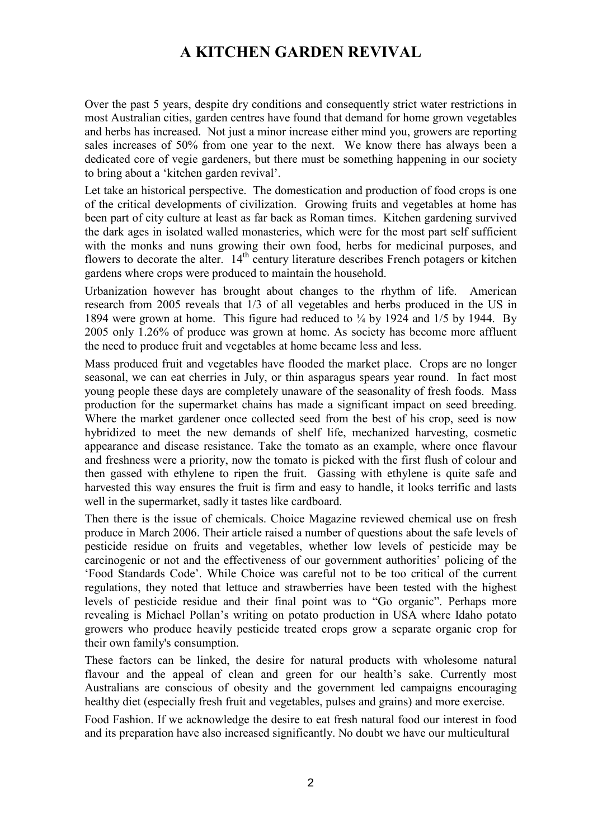## **A KITCHEN GARDEN REVIVAL**

Over the past 5 years, despite dry conditions and consequently strict water restrictions in most Australian cities, garden centres have found that demand for home grown vegetables and herbs has increased. Not just a minor increase either mind you, growers are reporting sales increases of 50% from one year to the next. We know there has always been a dedicated core of vegie gardeners, but there must be something happening in our society to bring about a 'kitchen garden revival'.

Let take an historical perspective. The domestication and production of food crops is one of the critical developments of civilization. Growing fruits and vegetables at home has been part of city culture at least as far back as Roman times. Kitchen gardening survived the dark ages in isolated walled monasteries, which were for the most part self sufficient with the monks and nuns growing their own food, herbs for medicinal purposes, and flowers to decorate the alter.  $14<sup>th</sup>$  century literature describes French potagers or kitchen gardens where crops were produced to maintain the household.

Urbanization however has brought about changes to the rhythm of life. American research from 2005 reveals that 1/3 of all vegetables and herbs produced in the US in 1894 were grown at home. This figure had reduced to ¼ by 1924 and 1/5 by 1944. By 2005 only 1.26% of produce was grown at home. As society has become more affluent the need to produce fruit and vegetables at home became less and less.

Mass produced fruit and vegetables have flooded the market place. Crops are no longer seasonal, we can eat cherries in July, or thin asparagus spears year round. In fact most young people these days are completely unaware of the seasonality of fresh foods. Mass production for the supermarket chains has made a significant impact on seed breeding. Where the market gardener once collected seed from the best of his crop, seed is now hybridized to meet the new demands of shelf life, mechanized harvesting, cosmetic appearance and disease resistance. Take the tomato as an example, where once flavour and freshness were a priority, now the tomato is picked with the first flush of colour and then gassed with ethylene to ripen the fruit. Gassing with ethylene is quite safe and harvested this way ensures the fruit is firm and easy to handle, it looks terrific and lasts well in the supermarket, sadly it tastes like cardboard.

Then there is the issue of chemicals. Choice Magazine reviewed chemical use on fresh produce in March 2006. Their article raised a number of questions about the safe levels of pesticide residue on fruits and vegetables, whether low levels of pesticide may be carcinogenic or not and the effectiveness of our government authorities' policing of the 'Food Standards Code'. While Choice was careful not to be too critical of the current regulations, they noted that lettuce and strawberries have been tested with the highest levels of pesticide residue and their final point was to "Go organic". Perhaps more revealing is Michael Pollan's writing on potato production in USA where Idaho potato growers who produce heavily pesticide treated crops grow a separate organic crop for their own family's consumption.

These factors can be linked, the desire for natural products with wholesome natural flavour and the appeal of clean and green for our health's sake. Currently most Australians are conscious of obesity and the government led campaigns encouraging healthy diet (especially fresh fruit and vegetables, pulses and grains) and more exercise.

Food Fashion. If we acknowledge the desire to eat fresh natural food our interest in food and its preparation have also increased significantly. No doubt we have our multicultural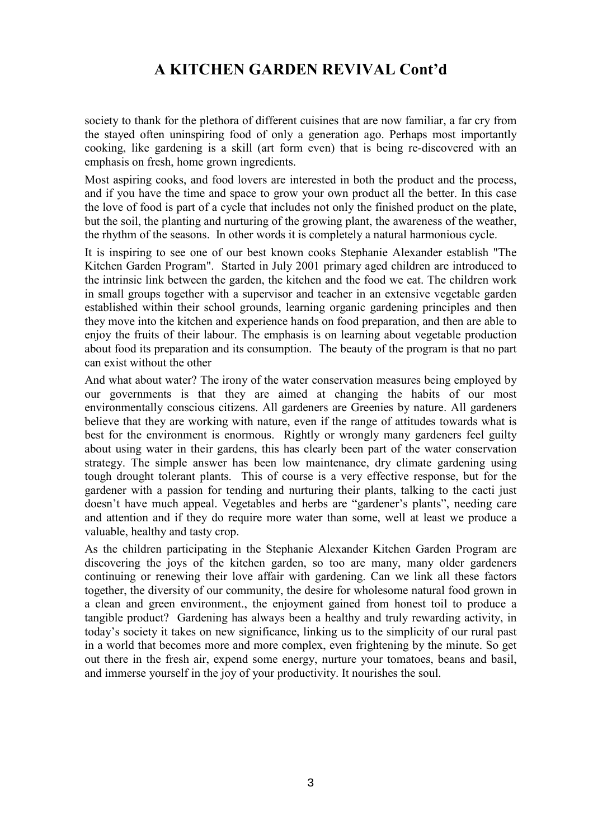## **A KITCHEN GARDEN REVIVAL Cont'd**

society to thank for the plethora of different cuisines that are now familiar, a far cry from the stayed often uninspiring food of only a generation ago. Perhaps most importantly cooking, like gardening is a skill (art form even) that is being re-discovered with an emphasis on fresh, home grown ingredients.

Most aspiring cooks, and food lovers are interested in both the product and the process, and if you have the time and space to grow your own product all the better. In this case the love of food is part of a cycle that includes not only the finished product on the plate, but the soil, the planting and nurturing of the growing plant, the awareness of the weather, the rhythm of the seasons. In other words it is completely a natural harmonious cycle.

It is inspiring to see one of our best known cooks Stephanie Alexander establish "The Kitchen Garden Program". Started in July 2001 primary aged children are introduced to the intrinsic link between the garden, the kitchen and the food we eat. The children work in small groups together with a supervisor and teacher in an extensive vegetable garden established within their school grounds, learning organic gardening principles and then they move into the kitchen and experience hands on food preparation, and then are able to enjoy the fruits of their labour. The emphasis is on learning about vegetable production about food its preparation and its consumption. The beauty of the program is that no part can exist without the other

And what about water? The irony of the water conservation measures being employed by our governments is that they are aimed at changing the habits of our most environmentally conscious citizens. All gardeners are Greenies by nature. All gardeners believe that they are working with nature, even if the range of attitudes towards what is best for the environment is enormous. Rightly or wrongly many gardeners feel guilty about using water in their gardens, this has clearly been part of the water conservation strategy. The simple answer has been low maintenance, dry climate gardening using tough drought tolerant plants. This of course is a very effective response, but for the gardener with a passion for tending and nurturing their plants, talking to the cacti just doesn't have much appeal. Vegetables and herbs are "gardener's plants", needing care and attention and if they do require more water than some, well at least we produce a valuable, healthy and tasty crop.

As the children participating in the Stephanie Alexander Kitchen Garden Program are discovering the joys of the kitchen garden, so too are many, many older gardeners continuing or renewing their love affair with gardening. Can we link all these factors together, the diversity of our community, the desire for wholesome natural food grown in a clean and green environment., the enjoyment gained from honest toil to produce a tangible product? Gardening has always been a healthy and truly rewarding activity, in today's society it takes on new significance, linking us to the simplicity of our rural past in a world that becomes more and more complex, even frightening by the minute. So get out there in the fresh air, expend some energy, nurture your tomatoes, beans and basil, and immerse yourself in the joy of your productivity. It nourishes the soul.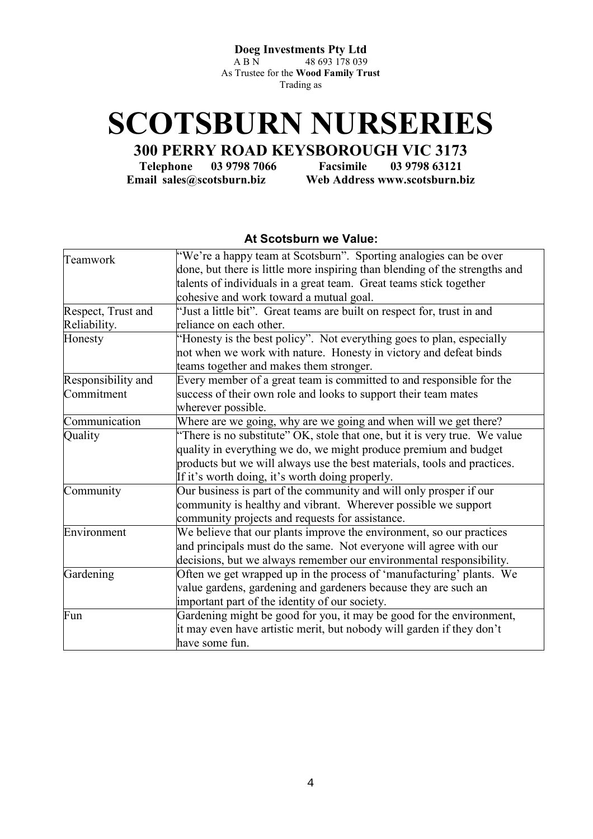**Doeg Investments Pty Ltd**<br>A B N 48 693 178 039

48 693 178 039 As Trustee for the **Wood Family Trust** Trading as

# **SCOTSBURN NURSERIES**

**300 PERRY ROAD KEYSBOROUGH VIC 3173** 

**Telephone 03 9798 7066 Facsimile 03 9798 63121 Email sales@scotsburn.biz Web Address www.scotsburn.biz** 

#### **At Scotsburn we Value:**

| Teamwork           | "We're a happy team at Scotsburn". Sporting analogies can be over           |
|--------------------|-----------------------------------------------------------------------------|
|                    | done, but there is little more inspiring than blending of the strengths and |
|                    | talents of individuals in a great team. Great teams stick together          |
|                    | cohesive and work toward a mutual goal.                                     |
| Respect, Trust and | "Just a little bit". Great teams are built on respect for, trust in and     |
| Reliability.       | reliance on each other.                                                     |
| Honesty            | "Honesty is the best policy". Not everything goes to plan, especially       |
|                    | not when we work with nature. Honesty in victory and defeat binds           |
|                    | teams together and makes them stronger.                                     |
| Responsibility and | Every member of a great team is committed to and responsible for the        |
| Commitment         | success of their own role and looks to support their team mates             |
|                    | wherever possible.                                                          |
| Communication      | Where are we going, why are we going and when will we get there?            |
| Quality            | "There is no substitute" OK, stole that one, but it is very true. We value  |
|                    | quality in everything we do, we might produce premium and budget            |
|                    | products but we will always use the best materials, tools and practices.    |
|                    | If it's worth doing, it's worth doing properly.                             |
| Community          | Our business is part of the community and will only prosper if our          |
|                    | community is healthy and vibrant. Wherever possible we support              |
|                    | community projects and requests for assistance.                             |
| Environment        | We believe that our plants improve the environment, so our practices        |
|                    | and principals must do the same. Not everyone will agree with our           |
|                    | decisions, but we always remember our environmental responsibility.         |
| Gardening          | Often we get wrapped up in the process of 'manufacturing' plants. We        |
|                    | value gardens, gardening and gardeners because they are such an             |
|                    | important part of the identity of our society.                              |
| Fun                | Gardening might be good for you, it may be good for the environment,        |
|                    | it may even have artistic merit, but nobody will garden if they don't       |
|                    | have some fun.                                                              |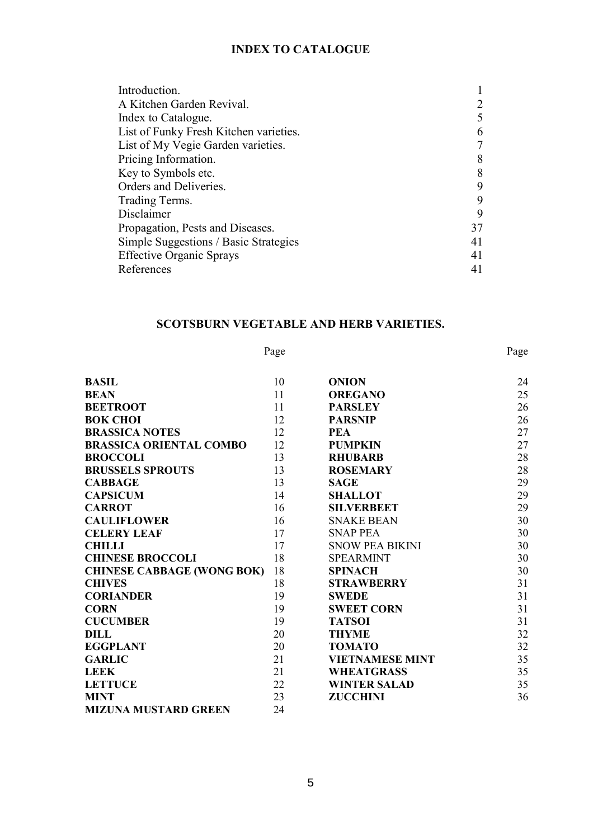#### **INDEX TO CATALOGUE**

| 5  |
|----|
| 6  |
|    |
| 8  |
| 8  |
| 9  |
| 9  |
| 9  |
| 37 |
| 41 |
| 41 |
| 41 |
|    |

#### **SCOTSBURN VEGETABLE AND HERB VARIETIES.**

#### Page Page

| <b>BASIL</b>                      | 10 | <b>ONION</b>           | 24 |
|-----------------------------------|----|------------------------|----|
| <b>BEAN</b>                       | 11 | <b>OREGANO</b>         | 25 |
| <b>BEETROOT</b>                   | 11 | <b>PARSLEY</b>         | 26 |
| <b>BOK CHOI</b>                   | 12 | <b>PARSNIP</b>         | 26 |
| <b>BRASSICA NOTES</b>             | 12 | <b>PEA</b>             | 27 |
| <b>BRASSICA ORIENTAL COMBO</b>    | 12 | <b>PUMPKIN</b>         | 27 |
| <b>BROCCOLI</b>                   | 13 | <b>RHUBARB</b>         | 28 |
| <b>BRUSSELS SPROUTS</b>           | 13 | <b>ROSEMARY</b>        | 28 |
| <b>CABBAGE</b>                    | 13 | <b>SAGE</b>            | 29 |
| <b>CAPSICUM</b>                   | 14 | <b>SHALLOT</b>         | 29 |
| <b>CARROT</b>                     | 16 | <b>SILVERBEET</b>      | 29 |
| <b>CAULIFLOWER</b>                | 16 | <b>SNAKE BEAN</b>      | 30 |
| <b>CELERY LEAF</b>                | 17 | <b>SNAP PEA</b>        | 30 |
| <b>CHILLI</b>                     | 17 | <b>SNOW PEA BIKINI</b> | 30 |
| <b>CHINESE BROCCOLI</b>           | 18 | <b>SPEARMINT</b>       | 30 |
| <b>CHINESE CABBAGE (WONG BOK)</b> | 18 | <b>SPINACH</b>         | 30 |
| <b>CHIVES</b>                     | 18 | <b>STRAWBERRY</b>      | 31 |
| <b>CORIANDER</b>                  | 19 | <b>SWEDE</b>           | 31 |
| <b>CORN</b>                       | 19 | <b>SWEET CORN</b>      | 31 |
| <b>CUCUMBER</b>                   | 19 | <b>TATSOI</b>          | 31 |
| DILL                              | 20 | <b>THYME</b>           | 32 |
| <b>EGGPLANT</b>                   | 20 | <b>TOMATO</b>          | 32 |
| <b>GARLIC</b>                     | 21 | <b>VIETNAMESE MINT</b> | 35 |
| <b>LEEK</b>                       | 21 | <b>WHEATGRASS</b>      | 35 |
| <b>LETTUCE</b>                    | 22 | <b>WINTER SALAD</b>    | 35 |
| <b>MINT</b>                       | 23 | <b>ZUCCHINI</b>        | 36 |
| <b>MIZUNA MUSTARD GREEN</b>       | 24 |                        |    |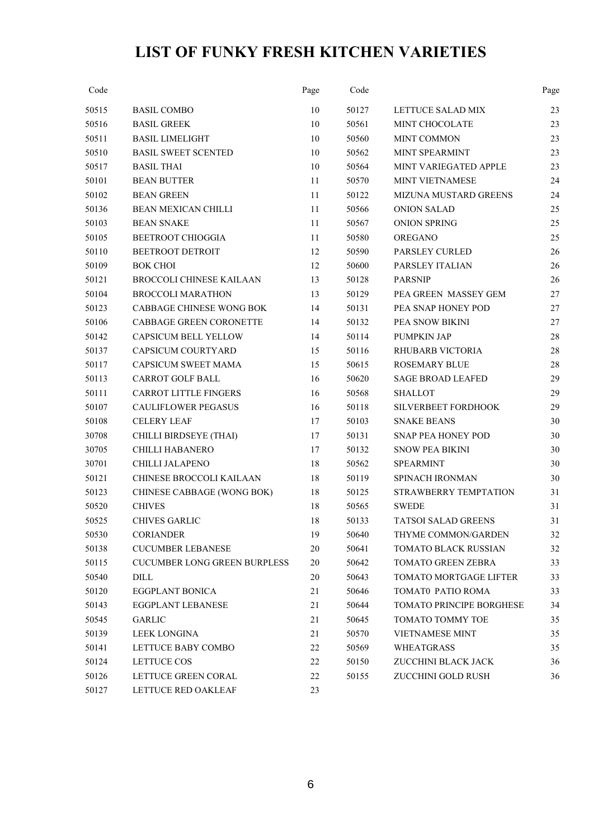## **LIST OF FUNKY FRESH KITCHEN VARIETIES**

| Code  |                                     | Page   | Code  |                            | Page |
|-------|-------------------------------------|--------|-------|----------------------------|------|
| 50515 | <b>BASIL COMBO</b>                  | 10     | 50127 | LETTUCE SALAD MIX          | 23   |
| 50516 | <b>BASIL GREEK</b>                  | 10     | 50561 | <b>MINT CHOCOLATE</b>      | 23   |
| 50511 | <b>BASIL LIMELIGHT</b>              | 10     | 50560 | <b>MINT COMMON</b>         | 23   |
| 50510 | <b>BASIL SWEET SCENTED</b>          | 10     | 50562 | MINT SPEARMINT             | 23   |
| 50517 | <b>BASIL THAI</b>                   | 10     | 50564 | MINT VARIEGATED APPLE      | 23   |
| 50101 | <b>BEAN BUTTER</b>                  | 11     | 50570 | MINT VIETNAMESE            | 24   |
| 50102 | <b>BEAN GREEN</b>                   | 11     | 50122 | MIZUNA MUSTARD GREENS      | 24   |
| 50136 | <b>BEAN MEXICAN CHILLI</b>          | 11     | 50566 | <b>ONION SALAD</b>         | 25   |
| 50103 | <b>BEAN SNAKE</b>                   | 11     | 50567 | <b>ONION SPRING</b>        | 25   |
| 50105 | <b>BEETROOT CHIOGGIA</b>            | 11     | 50580 | <b>OREGANO</b>             | 25   |
| 50110 | BEETROOT DETROIT                    | 12     | 50590 | PARSLEY CURLED             | 26   |
| 50109 | <b>BOK CHOI</b>                     | 12     | 50600 | PARSLEY ITALIAN            | 26   |
| 50121 | <b>BROCCOLI CHINESE KAILAAN</b>     | 13     | 50128 | <b>PARSNIP</b>             | 26   |
| 50104 | <b>BROCCOLI MARATHON</b>            | 13     | 50129 | PEA GREEN MASSEY GEM       | 27   |
| 50123 | CABBAGE CHINESE WONG BOK            | 14     | 50131 | PEA SNAP HONEY POD         | 27   |
| 50106 | <b>CABBAGE GREEN CORONETTE</b>      | 14     | 50132 | PEA SNOW BIKINI            | 27   |
| 50142 | <b>CAPSICUM BELL YELLOW</b>         | 14     | 50114 | <b>PUMPKIN JAP</b>         | 28   |
| 50137 | CAPSICUM COURTYARD                  | 15     | 50116 | <b>RHUBARB VICTORIA</b>    | 28   |
| 50117 | <b>CAPSICUM SWEET MAMA</b>          | 15     | 50615 | <b>ROSEMARY BLUE</b>       | 28   |
| 50113 | <b>CARROT GOLF BALL</b>             | 16     | 50620 | <b>SAGE BROAD LEAFED</b>   | 29   |
| 50111 | CARROT LITTLE FINGERS               | 16     | 50568 | <b>SHALLOT</b>             | 29   |
| 50107 | <b>CAULIFLOWER PEGASUS</b>          | 16     | 50118 | SILVERBEET FORDHOOK        | 29   |
| 50108 | <b>CELERY LEAF</b>                  | 17     | 50103 | <b>SNAKE BEANS</b>         | 30   |
| 30708 | CHILLI BIRDSEYE (THAI)              | 17     | 50131 | <b>SNAP PEA HONEY POD</b>  | 30   |
| 30705 | <b>CHILLI HABANERO</b>              | 17     | 50132 | <b>SNOW PEA BIKINI</b>     | 30   |
| 30701 | CHILLI JALAPENO                     | 18     | 50562 | <b>SPEARMINT</b>           | 30   |
| 50121 | CHINESE BROCCOLI KAILAAN            | 18     | 50119 | <b>SPINACH IRONMAN</b>     | 30   |
| 50123 | CHINESE CABBAGE (WONG BOK)          | 18     | 50125 | STRAWBERRY TEMPTATION      | 31   |
| 50520 | <b>CHIVES</b>                       | 18     | 50565 | <b>SWEDE</b>               | 31   |
| 50525 | <b>CHIVES GARLIC</b>                | 18     | 50133 | <b>TATSOI SALAD GREENS</b> | 31   |
| 50530 | <b>CORIANDER</b>                    | 19     | 50640 | THYME COMMON/GARDEN        | 32   |
| 50138 | <b>CUCUMBER LEBANESE</b>            | $20\,$ | 50641 | TOMATO BLACK RUSSIAN       | 32   |
| 50115 | <b>CUCUMBER LONG GREEN BURPLESS</b> | 20     | 50642 | <b>TOMATO GREEN ZEBRA</b>  | 33   |
| 50540 | <b>DILL</b>                         | 20     | 50643 | TOMATO MORTGAGE LIFTER     | 33   |
| 50120 | EGGPLANT BONICA                     | 21     | 50646 | TOMAT0 PATIO ROMA          | 33   |
| 50143 | <b>EGGPLANT LEBANESE</b>            | 21     | 50644 | TOMATO PRINCIPE BORGHESE   | 34   |
| 50545 | <b>GARLIC</b>                       | 21     | 50645 | TOMATO TOMMY TOE           | 35   |
| 50139 | LEEK LONGINA                        | 21     | 50570 | <b>VIETNAMESE MINT</b>     | 35   |
| 50141 | LETTUCE BABY COMBO                  | 22     | 50569 | <b>WHEATGRASS</b>          | 35   |
| 50124 | LETTUCE COS                         | 22     | 50150 | ZUCCHINI BLACK JACK        | 36   |
| 50126 | LETTUCE GREEN CORAL                 | 22     | 50155 | ZUCCHINI GOLD RUSH         | 36   |
| 50127 | LETTUCE RED OAKLEAF                 | 23     |       |                            |      |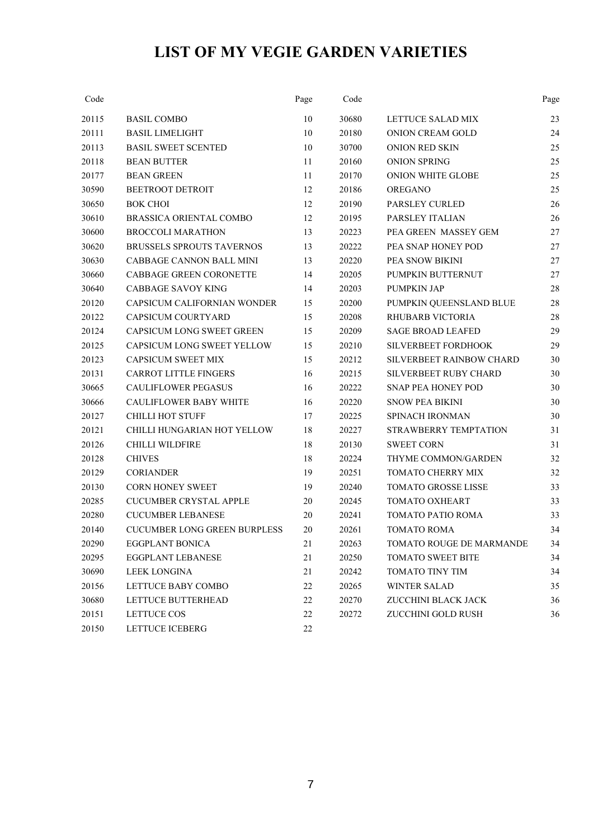## **LIST OF MY VEGIE GARDEN VARIETIES**

| Code  |                                     | Page   | Code  |                              | Page |
|-------|-------------------------------------|--------|-------|------------------------------|------|
| 20115 | <b>BASIL COMBO</b>                  | 10     | 30680 | LETTUCE SALAD MIX            | 23   |
| 20111 | <b>BASIL LIMELIGHT</b>              | 10     | 20180 | <b>ONION CREAM GOLD</b>      | 24   |
| 20113 | <b>BASIL SWEET SCENTED</b>          | 10     | 30700 | <b>ONION RED SKIN</b>        | 25   |
| 20118 | <b>BEAN BUTTER</b>                  | 11     | 20160 | <b>ONION SPRING</b>          | 25   |
| 20177 | <b>BEAN GREEN</b>                   | 11     | 20170 | <b>ONION WHITE GLOBE</b>     | 25   |
| 30590 | <b>BEETROOT DETROIT</b>             | 12     | 20186 | <b>OREGANO</b>               | 25   |
| 30650 | <b>BOK CHOI</b>                     | 12     | 20190 | PARSLEY CURLED               | 26   |
| 30610 | <b>BRASSICA ORIENTAL COMBO</b>      | 12     | 20195 | PARSLEY ITALIAN              | 26   |
| 30600 | <b>BROCCOLI MARATHON</b>            | 13     | 20223 | PEA GREEN MASSEY GEM         | 27   |
| 30620 | <b>BRUSSELS SPROUTS TAVERNOS</b>    | 13     | 20222 | PEA SNAP HONEY POD           | 27   |
| 30630 | <b>CABBAGE CANNON BALL MINI</b>     | 13     | 20220 | PEA SNOW BIKINI              | 27   |
| 30660 | CABBAGE GREEN CORONETTE             | 14     | 20205 | PUMPKIN BUTTERNUT            | 27   |
| 30640 | <b>CABBAGE SAVOY KING</b>           | 14     | 20203 | <b>PUMPKIN JAP</b>           | 28   |
| 20120 | CAPSICUM CALIFORNIAN WONDER         | 15     | 20200 | PUMPKIN QUEENSLAND BLUE      | 28   |
| 20122 | CAPSICUM COURTYARD                  | 15     | 20208 | <b>RHUBARB VICTORIA</b>      | 28   |
| 20124 | <b>CAPSICUM LONG SWEET GREEN</b>    | 15     | 20209 | <b>SAGE BROAD LEAFED</b>     | 29   |
| 20125 | CAPSICUM LONG SWEET YELLOW          | 15     | 20210 | SILVERBEET FORDHOOK          | 29   |
| 20123 | <b>CAPSICUM SWEET MIX</b>           | 15     | 20212 | SILVERBEET RAINBOW CHARD     | 30   |
| 20131 | <b>CARROT LITTLE FINGERS</b>        | 16     | 20215 | <b>SILVERBEET RUBY CHARD</b> | 30   |
| 30665 | <b>CAULIFLOWER PEGASUS</b>          | 16     | 20222 | SNAP PEA HONEY POD           | 30   |
| 30666 | <b>CAULIFLOWER BABY WHITE</b>       | 16     | 20220 | <b>SNOW PEA BIKINI</b>       | 30   |
| 20127 | <b>CHILLI HOT STUFF</b>             | 17     | 20225 | SPINACH IRONMAN              | 30   |
| 20121 | CHILLI HUNGARIAN HOT YELLOW         | 18     | 20227 | STRAWBERRY TEMPTATION        | 31   |
| 20126 | <b>CHILLI WILDFIRE</b>              | 18     | 20130 | <b>SWEET CORN</b>            | 31   |
| 20128 | <b>CHIVES</b>                       | 18     | 20224 | THYME COMMON/GARDEN          | 32   |
| 20129 | <b>CORIANDER</b>                    | 19     | 20251 | TOMATO CHERRY MIX            | 32   |
| 20130 | <b>CORN HONEY SWEET</b>             | 19     | 20240 | <b>TOMATO GROSSE LISSE</b>   | 33   |
| 20285 | <b>CUCUMBER CRYSTAL APPLE</b>       | 20     | 20245 | TOMATO OXHEART               | 33   |
| 20280 | <b>CUCUMBER LEBANESE</b>            | 20     | 20241 | TOMATO PATIO ROMA            | 33   |
| 20140 | <b>CUCUMBER LONG GREEN BURPLESS</b> | 20     | 20261 | <b>TOMATO ROMA</b>           | 34   |
| 20290 | EGGPLANT BONICA                     | 21     | 20263 | TOMATO ROUGE DE MARMANDE     | 34   |
| 20295 | EGGPLANT LEBANESE                   | 21     | 20250 | TOMATO SWEET BITE            | 34   |
| 30690 | <b>LEEK LONGINA</b>                 | 21     | 20242 | TOMATO TINY TIM              | 34   |
| 20156 | LETTUCE BABY COMBO                  | 22     | 20265 | <b>WINTER SALAD</b>          | 35   |
| 30680 | LETTUCE BUTTERHEAD                  | 22     | 20270 | ZUCCHINI BLACK JACK          | 36   |
| 20151 | LETTUCE COS                         | 22     | 20272 | ZUCCHINI GOLD RUSH           | 36   |
| 20150 | <b>LETTUCE ICEBERG</b>              | $22\,$ |       |                              |      |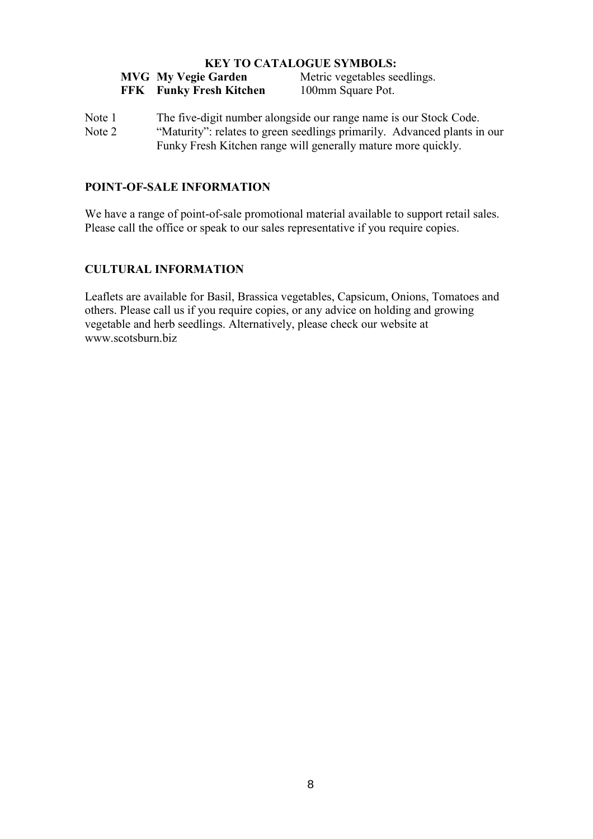#### **KEY TO CATALOGUE SYMBOLS:**

| <b>MVG</b> My Vegie Garden     | Metric vegetables seedlings. |
|--------------------------------|------------------------------|
| <b>FFK</b> Funky Fresh Kitchen | 100mm Square Pot.            |

Note 1 The five-digit number alongside our range name is our Stock Code. Note 2 "Maturity": relates to green seedlings primarily. Advanced plants in our Funky Fresh Kitchen range will generally mature more quickly.

#### **POINT-OF-SALE INFORMATION**

We have a range of point-of-sale promotional material available to support retail sales. Please call the office or speak to our sales representative if you require copies.

#### **CULTURAL INFORMATION**

Leaflets are available for Basil, Brassica vegetables, Capsicum, Onions, Tomatoes and others. Please call us if you require copies, or any advice on holding and growing vegetable and herb seedlings. Alternatively, please check our website at www.scotsburn.biz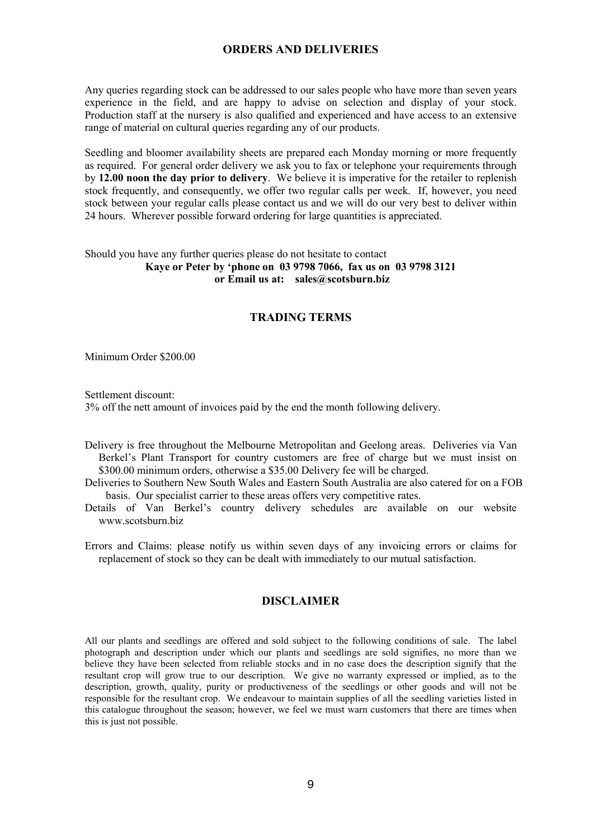#### **ORDERS AND DELIVERIES**

Any queries regarding stock can be addressed to our sales people who have more than seven years experience in the field, and are happy to advise on selection and display of your stock. Production staff at the nursery is also qualified and experienced and have access to an extensive range of material on cultural queries regarding any of our products.

Seedling and bloomer availability sheets are prepared each Monday morning or more frequently as required. For general order delivery we ask you to fax or telephone your requirements through by **12.00 noon the day prior to delivery**. We believe it is imperative for the retailer to replenish stock frequently, and consequently, we offer two regular calls per week. If, however, you need stock between your regular calls please contact us and we will do our very best to deliver within 24 hours. Wherever possible forward ordering for large quantities is appreciated.

#### Should you have any further queries please do not hesitate to contact **Kaye or Peter by 'phone on 03 9798 7066, fax us on 03 9798 3121 or Email us at: sales@scotsburn.biz**

#### **TRADING TERMS**

Minimum Order \$200.00

Settlement discount:

3% off the nett amount of invoices paid by the end the month following delivery.

Delivery is free throughout the Melbourne Metropolitan and Geelong areas. Deliveries via Van Berkel's Plant Transport for country customers are free of charge but we must insist on \$300.00 minimum orders, otherwise a \$35.00 Delivery fee will be charged.

Deliveries to Southern New South Wales and Eastern South Australia are also catered for on a FOB basis. Our specialist carrier to these areas offers very competitive rates.

Details of Van Berkel's country delivery schedules are available on our website www.scotsburn.biz

Errors and Claims: please notify us within seven days of any invoicing errors or claims for replacement of stock so they can be dealt with immediately to our mutual satisfaction.

#### **DISCLAIMER**

All our plants and seedlings are offered and sold subject to the following conditions of sale. The label photograph and description under which our plants and seedlings are sold signifies, no more than we believe they have been selected from reliable stocks and in no case does the description signify that the resultant crop will grow true to our description. We give no warranty expressed or implied, as to the description, growth, quality, purity or productiveness of the seedlings or other goods and will not be responsible for the resultant crop. We endeavour to maintain supplies of all the seedling varieties listed in this catalogue throughout the season; however, we feel we must warn customers that there are times when this is just not possible.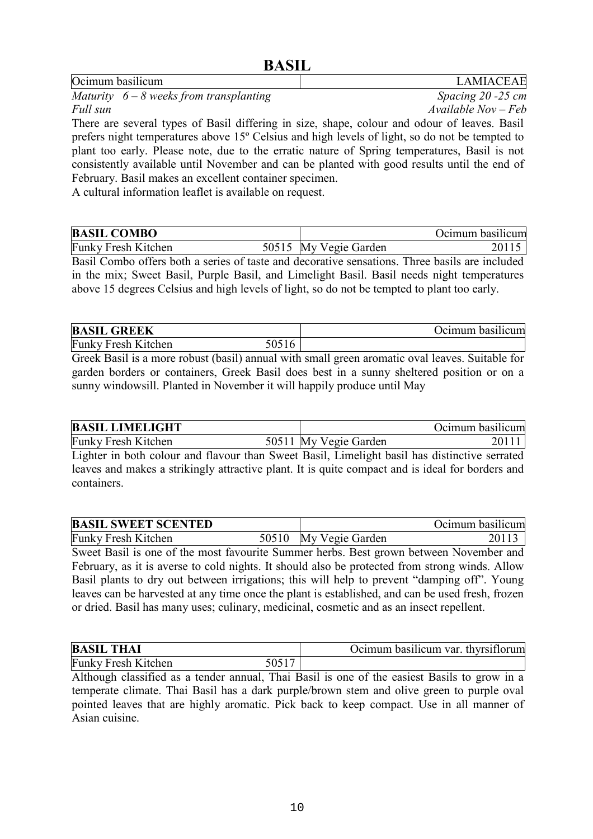| Ocimum basilicum                                                                               | <b>LAMIACEAE</b>     |
|------------------------------------------------------------------------------------------------|----------------------|
| Maturity $6-8$ weeks from transplanting                                                        | Spacing $20 - 25$ cm |
| Full sun                                                                                       | $Available Nov-Feb$  |
| There are several types of Basil differing in size, shape, colour and odour of leaves. Basil   |                      |
| prefers night temperatures above 15° Celsius and high levels of light, so do not be tempted to |                      |
| plant too early. Please note, due to the erratic nature of Spring temperatures, Basil is not   |                      |
| consistently available until November and can be planted with good results until the end of    |                      |
| February. Basil makes an excellent container specimen.                                         |                      |
| A cultural information leaflet is available on request.                                        |                      |

**BASIL COMBO Ocimum basilicum** Funky Fresh Kitchen 50515 My Vegie Garden 20115

Basil Combo offers both a series of taste and decorative sensations. Three basils are included in the mix; Sweet Basil, Purple Basil, and Limelight Basil. Basil needs night temperatures above 15 degrees Celsius and high levels of light, so do not be tempted to plant too early.

| <b>BASIL GREEK</b>         |       | Ocimum basilicum |
|----------------------------|-------|------------------|
| <b>Funky Fresh Kitchen</b> | 50516 |                  |

Greek Basil is a more robust (basil) annual with small green aromatic oval leaves. Suitable for garden borders or containers, Greek Basil does best in a sunny sheltered position or on a sunny windowsill. Planted in November it will happily produce until May

| <b>BASIL LIMELIGHT</b>     |                       | Ocimum basilicum |
|----------------------------|-----------------------|------------------|
| <b>Funky Fresh Kitchen</b> | 50511 My Vegie Garden |                  |

Lighter in both colour and flavour than Sweet Basil, Limelight basil has distinctive serrated leaves and makes a strikingly attractive plant. It is quite compact and is ideal for borders and containers.

| <b>BASIL SWEET SCENTED</b> |                       | Ocimum basilicum |
|----------------------------|-----------------------|------------------|
| <b>Funky Fresh Kitchen</b> | 50510 My Vegie Garden |                  |

Sweet Basil is one of the most favourite Summer herbs. Best grown between November and February, as it is averse to cold nights. It should also be protected from strong winds. Allow Basil plants to dry out between irrigations; this will help to prevent "damping off". Young leaves can be harvested at any time once the plant is established, and can be used fresh, frozen or dried. Basil has many uses; culinary, medicinal, cosmetic and as an insect repellent.

| <b>BASIL THAI</b>          | Ocimum basilicum var. thyrsiflorum |
|----------------------------|------------------------------------|
| <b>Funky Fresh Kitchen</b> |                                    |

Although classified as a tender annual, Thai Basil is one of the easiest Basils to grow in a temperate climate. Thai Basil has a dark purple/brown stem and olive green to purple oval pointed leaves that are highly aromatic. Pick back to keep compact. Use in all manner of Asian cuisine.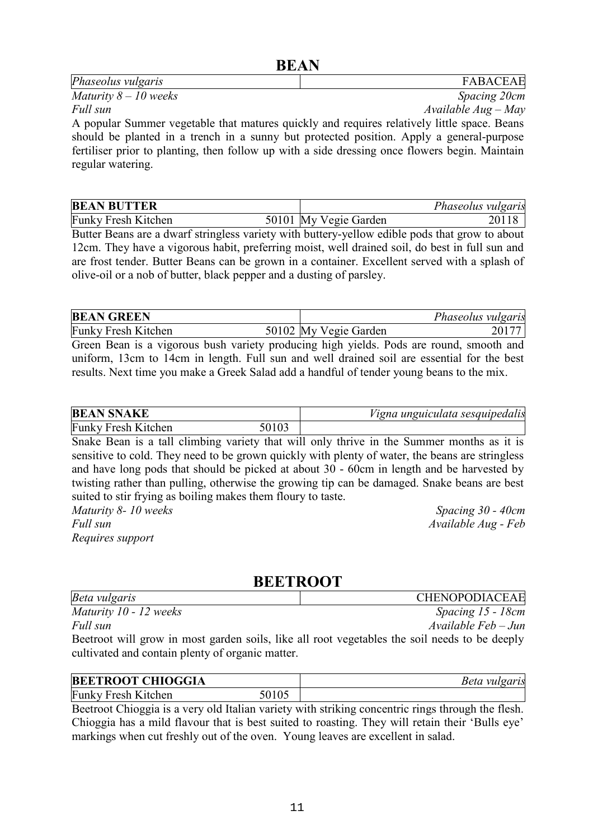#### **BEAN**

| <i>Phaseolus vulgaris</i>                                                                   | <b>FABACEAE</b>       |
|---------------------------------------------------------------------------------------------|-----------------------|
| Maturity $8-10$ weeks                                                                       | Spacing 20cm          |
| Full sun                                                                                    | $Available Aug - May$ |
| A popular Summer vegetable that matures quickly and requires relatively little space. Beans |                       |

should be planted in a trench in a sunny but protected position. Apply a general-purpose fertiliser prior to planting, then follow up with a side dressing once flowers begin. Maintain regular watering.

| <b>BEAN BUTTER</b>         |                       | Phaseolus vulgaris |
|----------------------------|-----------------------|--------------------|
| <b>Funky Fresh Kitchen</b> | 50101 My Vegie Garden |                    |

Butter Beans are a dwarf stringless variety with buttery-yellow edible pods that grow to about 12cm. They have a vigorous habit, preferring moist, well drained soil, do best in full sun and are frost tender. Butter Beans can be grown in a container. Excellent served with a splash of olive-oil or a nob of butter, black pepper and a dusting of parsley.

| <b>BEAN GREEN</b>          |                       | Phaseolus vulgaris |
|----------------------------|-----------------------|--------------------|
| <b>Funky Fresh Kitchen</b> | 50102 My Vegie Garden |                    |

Green Bean is a vigorous bush variety producing high yields. Pods are round, smooth and uniform, 13cm to 14cm in length. Full sun and well drained soil are essential for the best results. Next time you make a Greek Salad add a handful of tender young beans to the mix.

| <b>BEAN SNAKE</b>          |  | Vigna unguiculata sesquipedalis |  |
|----------------------------|--|---------------------------------|--|
| <b>Funky Fresh Kitchen</b> |  |                                 |  |

Snake Bean is a tall climbing variety that will only thrive in the Summer months as it is sensitive to cold. They need to be grown quickly with plenty of water, the beans are stringless and have long pods that should be picked at about 30 - 60cm in length and be harvested by twisting rather than pulling, otherwise the growing tip can be damaged. Snake beans are best suited to stir frying as boiling makes them floury to taste. *Maturity 8- 10 weeks Spacing 30 - 40cm*

*Full sun Available Aug - Feb Requires support* 

## **BEETROOT**

| Beta vulgaris                                                                                 | <b>CHENOPODIACEAE</b>    |
|-----------------------------------------------------------------------------------------------|--------------------------|
| Maturity 10 - 12 weeks                                                                        | Spacing 15 - 18cm        |
| Full sun                                                                                      | $A$ vailable Feb $-J$ un |
| Beetroot will grow in most garden soils, like all root vegetables the soil needs to be deeply |                          |
| cultivated and contain plenty of organic matter.                                              |                          |

| <b>BEETROOT CHIOGGIA</b>   |       | <i>Beta vulgaris</i> |
|----------------------------|-------|----------------------|
| <b>Funky Fresh Kitchen</b> | 50105 |                      |

Beetroot Chioggia is a very old Italian variety with striking concentric rings through the flesh. Chioggia has a mild flavour that is best suited to roasting. They will retain their 'Bulls eye' markings when cut freshly out of the oven. Young leaves are excellent in salad.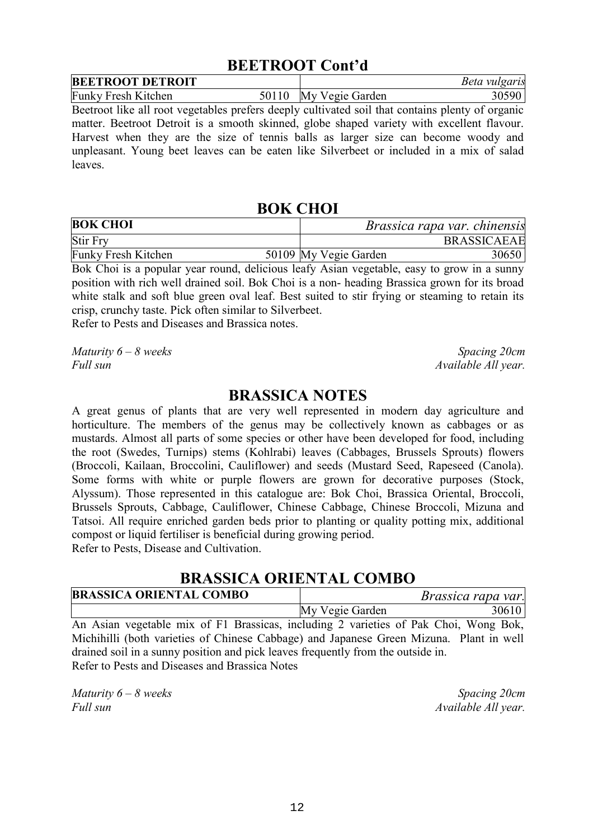## **BEETROOT Cont'd**

| <b>BEETROOT DETROIT</b>    |       |                 | Beta vulgaris |
|----------------------------|-------|-----------------|---------------|
| <b>Funky Fresh Kitchen</b> | 50110 | My Vegie Garden |               |

Beetroot like all root vegetables prefers deeply cultivated soil that contains plenty of organic matter. Beetroot Detroit is a smooth skinned, globe shaped variety with excellent flavour. Harvest when they are the size of tennis balls as larger size can become woody and unpleasant. Young beet leaves can be eaten like Silverbeet or included in a mix of salad leaves.

#### **BOK CHOI**

| <b>BOK CHOI</b>     |                       | <i>Brassica rapa var. chinensis</i> |
|---------------------|-----------------------|-------------------------------------|
| <b>Stir Fry</b>     |                       | <b>BRASSICAEAE</b>                  |
| Funky Fresh Kitchen | 50109 My Vegie Garden | 30650                               |

Bok Choi is a popular year round, delicious leafy Asian vegetable, easy to grow in a sunny position with rich well drained soil. Bok Choi is a non- heading Brassica grown for its broad white stalk and soft blue green oval leaf. Best suited to stir frying or steaming to retain its crisp, crunchy taste. Pick often similar to Silverbeet.

Refer to Pests and Diseases and Brassica notes.

*Maturity 6 – 8 weeks* Spacing 20cm *Full sun Available All year.*

#### **BRASSICA NOTES**

A great genus of plants that are very well represented in modern day agriculture and horticulture. The members of the genus may be collectively known as cabbages or as mustards. Almost all parts of some species or other have been developed for food, including the root (Swedes, Turnips) stems (Kohlrabi) leaves (Cabbages, Brussels Sprouts) flowers (Broccoli, Kailaan, Broccolini, Cauliflower) and seeds (Mustard Seed, Rapeseed (Canola). Some forms with white or purple flowers are grown for decorative purposes (Stock, Alyssum). Those represented in this catalogue are: Bok Choi, Brassica Oriental, Broccoli, Brussels Sprouts, Cabbage, Cauliflower, Chinese Cabbage, Chinese Broccoli, Mizuna and Tatsoi. All require enriched garden beds prior to planting or quality potting mix, additional compost or liquid fertiliser is beneficial during growing period. Refer to Pests, Disease and Cultivation.

#### **BRASSICA ORIENTAL COMBO**

| <b>BRASSICA ORIENTAL COMBO</b>                                                      | <i>Brassica rapa var.</i> |       |  |
|-------------------------------------------------------------------------------------|---------------------------|-------|--|
|                                                                                     | My Vegie Garden           | 30610 |  |
| An Agian vogateble mix of El Pressions including 2 verioties of Delz Choi Wang Polz |                           |       |  |

An Asian vegetable mix of F1 Brassicas, including 2 varieties of Pak Choi, Wong Bok, Michihilli (both varieties of Chinese Cabbage) and Japanese Green Mizuna. Plant in well drained soil in a sunny position and pick leaves frequently from the outside in. Refer to Pests and Diseases and Brassica Notes

*Maturity 6 – 8 weeks* Spacing 20cm *Full sun Available All year.*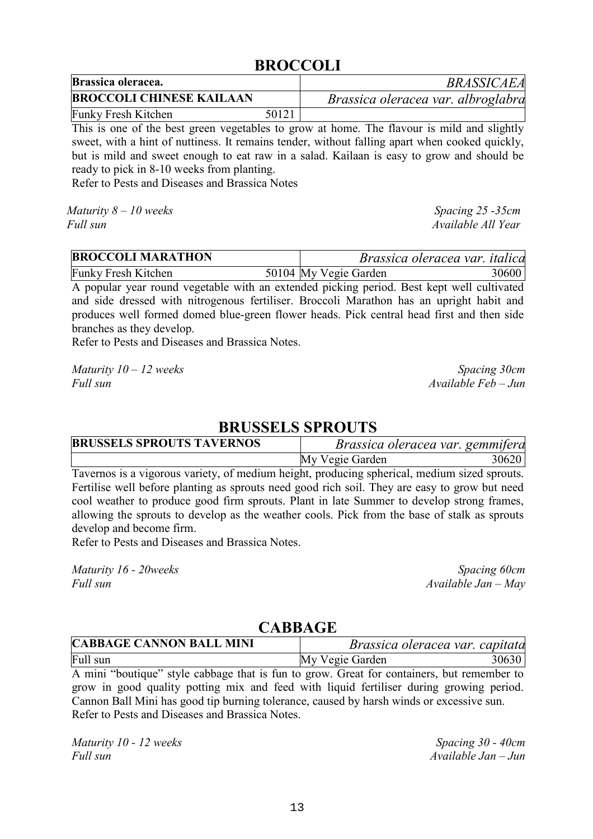## **BROCCOLI**

| Brassica oleracea.              |       | <b>BRASSICAEA</b>                  |
|---------------------------------|-------|------------------------------------|
| <b>BROCCOLI CHINESE KAILAAN</b> |       | Brassica oleracea var. albroglabra |
| Funky Fresh Kitchen             | 50121 |                                    |

This is one of the best green vegetables to grow at home. The flavour is mild and slightly sweet, with a hint of nuttiness. It remains tender, without falling apart when cooked quickly, but is mild and sweet enough to eat raw in a salad. Kailaan is easy to grow and should be ready to pick in 8-10 weeks from planting.

Refer to Pests and Diseases and Brassica Notes

*Maturity 8 – 10 weeks* Spacing 25 -35cm *Full sun Available All Year*

| <b>BROCCOLI MARATHON</b>   | Brassica oleracea var. italica |       |
|----------------------------|--------------------------------|-------|
| <b>Funky Fresh Kitchen</b> | 50104 My Vegie Garden          | 30600 |

A popular year round vegetable with an extended picking period. Best kept well cultivated and side dressed with nitrogenous fertiliser. Broccoli Marathon has an upright habit and produces well formed domed blue-green flower heads. Pick central head first and then side branches as they develop.

Refer to Pests and Diseases and Brassica Notes.

*Maturity 10 – 12 weeks* Spacing 30cm *Full sun Available Feb – Jun*

#### **BRUSSELS SPROUTS**

| <b>BRUSSELS SPROUTS TAVERNOS</b>                                                             |                 | Brassica oleracea var. gemmifera |
|----------------------------------------------------------------------------------------------|-----------------|----------------------------------|
|                                                                                              | My Vegie Garden | 30620                            |
| Tavernos is a vigorous variety, of medium height, producing spherical, medium sized sprouts. |                 |                                  |

Fertilise well before planting as sprouts need good rich soil. They are easy to grow but need cool weather to produce good firm sprouts. Plant in late Summer to develop strong frames, allowing the sprouts to develop as the weather cools. Pick from the base of stalk as sprouts develop and become firm.

Refer to Pests and Diseases and Brassica Notes.

*Maturity 16 - 20weeks* Spacing 60cm **Spacing 60cm Spacing 60cm** *Full sun Available Jan – May*

#### **CABBAGE**

| <b>CABBAGE CANNON BALL MINI</b>                                                            | Brassica oleracea var. capitata |       |
|--------------------------------------------------------------------------------------------|---------------------------------|-------|
| Full sun                                                                                   | My Vegie Garden                 | 30630 |
| A mini "boutique" style cabbage that is fun to grow. Great for containers, but remember to |                                 |       |

grow in good quality potting mix and feed with liquid fertiliser during growing period. Cannon Ball Mini has good tip burning tolerance, caused by harsh winds or excessive sun. Refer to Pests and Diseases and Brassica Notes.

*Maturity 10 - 12 weeks* Spacing 30 - 40cm *Full sun Available Jan – Jun*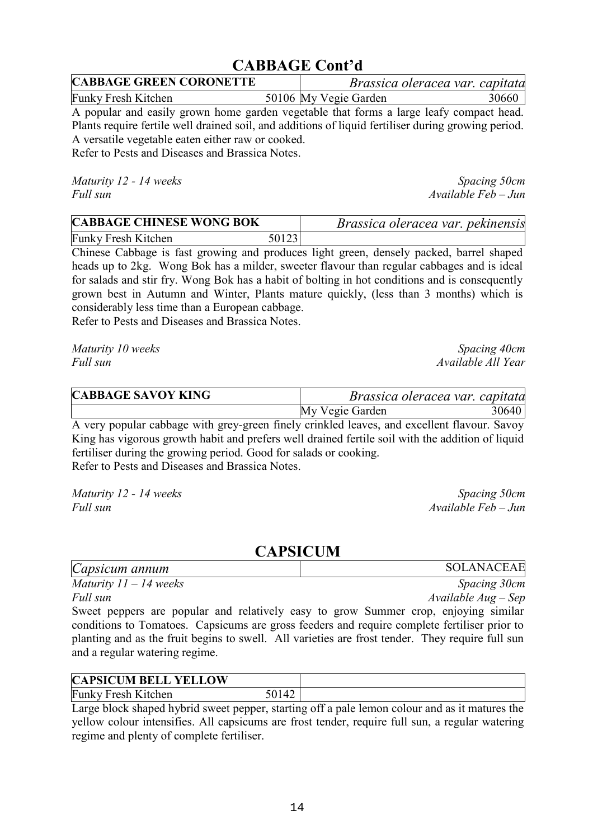## **CABBAGE Cont'd**

| <b>CABBAGE GREEN CORONETTE</b> | Brassica oleracea var. capitata |       |
|--------------------------------|---------------------------------|-------|
| <b>Funky Fresh Kitchen</b>     | 50106 My Vegie Garden           | 30660 |
|                                |                                 |       |

A popular and easily grown home garden vegetable that forms a large leafy compact head. Plants require fertile well drained soil, and additions of liquid fertiliser during growing period. A versatile vegetable eaten either raw or cooked.

Refer to Pests and Diseases and Brassica Notes.

*Maturity 12 - 14 weeks* Spacing 50cm

*Full sun Available Feb – Jun*

| <b>CABBAGE CHINESE WONG BOK</b> |       | Brassica oleracea var. pekinensis |
|---------------------------------|-------|-----------------------------------|
| Funky Fresh Kitchen             | 50123 |                                   |

Chinese Cabbage is fast growing and produces light green, densely packed, barrel shaped heads up to 2kg. Wong Bok has a milder, sweeter flavour than regular cabbages and is ideal for salads and stir fry. Wong Bok has a habit of bolting in hot conditions and is consequently grown best in Autumn and Winter, Plants mature quickly, (less than 3 months) which is considerably less time than a European cabbage.

Refer to Pests and Diseases and Brassica Notes.

*Maturity 10 weeks* Spacing 40cm *Full sun Available All Year*

| <b>CABBAGE SAVOY KING</b> |                 | Brassica oleracea var. capitata |       |
|---------------------------|-----------------|---------------------------------|-------|
|                           | My Vegie Garden |                                 | 30640 |
|                           |                 |                                 |       |

A very popular cabbage with grey-green finely crinkled leaves, and excellent flavour. Savoy King has vigorous growth habit and prefers well drained fertile soil with the addition of liquid fertiliser during the growing period. Good for salads or cooking. Refer to Pests and Diseases and Brassica Notes.

*Maturity 12 - 14 weeks* Spacing 50cm *Full sun Available Feb – Jun*

#### **CAPSICUM**

| Capsicum annum                                                                                   | <b>SOLANACEAE</b>   |
|--------------------------------------------------------------------------------------------------|---------------------|
| Maturity $11 - 14$ weeks                                                                         | Spacing 30cm        |
| Full sun                                                                                         | $Available Aug-Sep$ |
| Sweet peppers are popular and relatively easy to grow Summer crop, enjoying similar              |                     |
| conditions to Tomatoes. Capsicums are gross feeders and require complete fertiliser prior to     |                     |
| planting and as the fruit begins to swell. All varieties are frost tender. They require full sun |                     |
| and a regular watering regime.                                                                   |                     |

| <b>CAPSICUM BELL YELLOW</b> |  |
|-----------------------------|--|
| <b>Funky Fresh Kitchen</b>  |  |

Large block shaped hybrid sweet pepper, starting off a pale lemon colour and as it matures the yellow colour intensifies. All capsicums are frost tender, require full sun, a regular watering regime and plenty of complete fertiliser.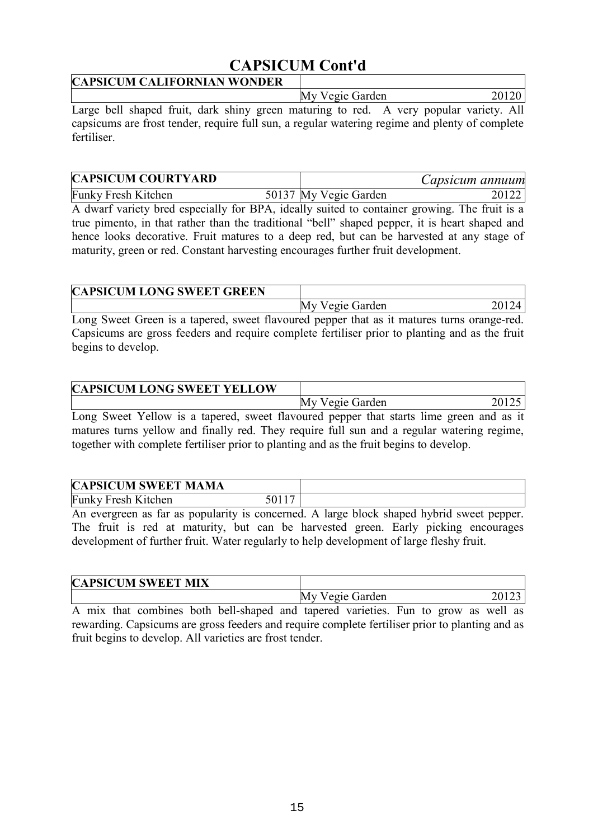## **CAPSICUM Cont'd**

| <b>CAPSICUM CALIFORNIAN WONDER</b> |                 |  |
|------------------------------------|-----------------|--|
|                                    | My Vegie Garden |  |
| $\sim$                             |                 |  |

Large bell shaped fruit, dark shiny green maturing to red. A very popular variety. All capsicums are frost tender, require full sun, a regular watering regime and plenty of complete fertiliser.

| <b>CAPSICUM COURTYARD</b>  |                       | Capsicum annuum |
|----------------------------|-----------------------|-----------------|
| <b>Funky Fresh Kitchen</b> | 50137 My Vegie Garden | 20122           |

A dwarf variety bred especially for BPA, ideally suited to container growing. The fruit is a true pimento, in that rather than the traditional "bell" shaped pepper, it is heart shaped and hence looks decorative. Fruit matures to a deep red, but can be harvested at any stage of maturity, green or red. Constant harvesting encourages further fruit development.

|  | <b>CAPSICUM LONG SWEET GREEN</b> |  |  |                 |  |  |
|--|----------------------------------|--|--|-----------------|--|--|
|  |                                  |  |  | My Vegie Garden |  |  |
|  |                                  |  |  |                 |  |  |

Long Sweet Green is a tapered, sweet flavoured pepper that as it matures turns orange-red. Capsicums are gross feeders and require complete fertiliser prior to planting and as the fruit begins to develop.

| <b>CAPSICUM LONG SWEET YELLOW</b>                                                      |                 |  |
|----------------------------------------------------------------------------------------|-----------------|--|
|                                                                                        | My Vegie Garden |  |
| Long Sweet Yellow is a tapered sweet flavoured penner that starts lime green and as it |                 |  |

Long Sweet Yellow is a tapered, sweet flavoured pepper that starts lime green and as it matures turns yellow and finally red. They require full sun and a regular watering regime, together with complete fertiliser prior to planting and as the fruit begins to develop.

| <b>CAPSICUM SWEET MAMA</b> |  |
|----------------------------|--|
| <b>Funky Fresh Kitchen</b> |  |

An evergreen as far as popularity is concerned. A large block shaped hybrid sweet pepper. The fruit is red at maturity, but can be harvested green. Early picking encourages development of further fruit. Water regularly to help development of large fleshy fruit.

| <b>CAPSICUM SWEET MIX</b> |                    |
|---------------------------|--------------------|
|                           | My Vegie Garden    |
| .                         | $\sim$ $\sim$<br>- |

A mix that combines both bell-shaped and tapered varieties. Fun to grow as well as rewarding. Capsicums are gross feeders and require complete fertiliser prior to planting and as fruit begins to develop. All varieties are frost tender.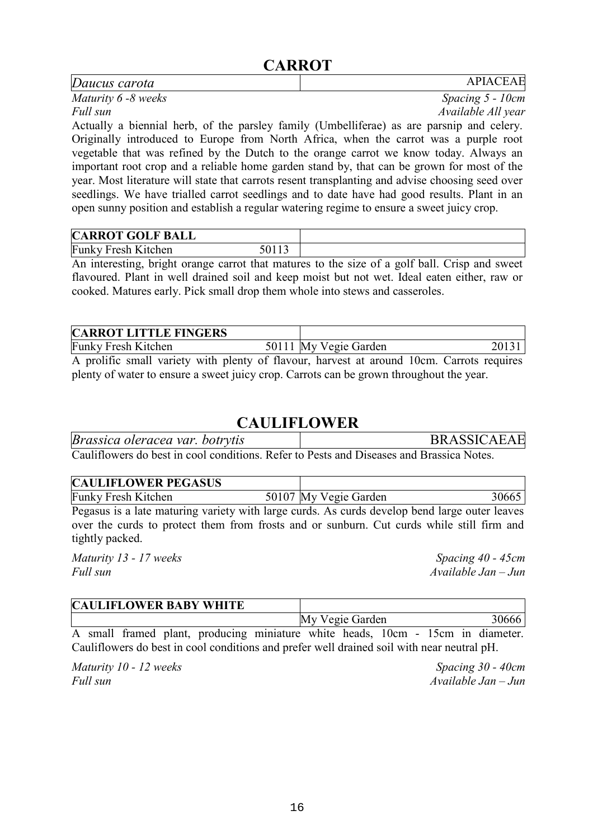## **CARROT**

| Daucus carota                                                                             | <b>APIACEAE</b>     |
|-------------------------------------------------------------------------------------------|---------------------|
| Maturity 6 -8 weeks                                                                       | Spacing $5 - 10$ cm |
| Full sun                                                                                  | Available All year  |
| Actually a biennial herb, of the parsley family (Umbelliferae) as are parsnip and celery. |                     |
| Originally introduced to Europe from North Africa, when the carrot was a purple root      |                     |
| vegetable that was refined by the Dutch to the orange carrot we know today. Always an     |                     |

important root crop and a reliable home garden stand by, that can be grown for most of the year. Most literature will state that carrots resent transplanting and advise choosing seed over seedlings. We have trialled carrot seedlings and to date have had good results. Plant in an open sunny position and establish a regular watering regime to ensure a sweet juicy crop.

| <b>CARROT GOLF BALL</b>    |  |
|----------------------------|--|
| <b>Funky Fresh Kitchen</b> |  |

An interesting, bright orange carrot that matures to the size of a golf ball. Crisp and sweet flavoured. Plant in well drained soil and keep moist but not wet. Ideal eaten either, raw or cooked. Matures early. Pick small drop them whole into stews and casseroles.

| <b>CARROT LITTLE FINGERS</b>                                                            |                       |  |
|-----------------------------------------------------------------------------------------|-----------------------|--|
| <b>Funky Fresh Kitchen</b>                                                              | 50111 My Vegie Garden |  |
| A prolific small variety with plenty of flavour harvest at around 10cm Carrots requires |                       |  |

A prolific small variety with plenty of flavour, harvest at around 10cm. Carrots requires plenty of water to ensure a sweet juicy crop. Carrots can be grown throughout the year.

## **CAULIFLOWER**

| Brassica oleracea var. botrytis                                                         | <b>BRASSICAEAE</b> |
|-----------------------------------------------------------------------------------------|--------------------|
| Cauliflowers do best in cool conditions. Refer to Pests and Diseases and Brassica Notes |                    |

| Cauliflowers do best in cool conditions. Refer to Pests and Diseases and Brassica Notes. |  |  |  |  |  |  |
|------------------------------------------------------------------------------------------|--|--|--|--|--|--|
|                                                                                          |  |  |  |  |  |  |

| <b>CAULIFLOWER PEGASUS</b> |                                                                                                  |       |
|----------------------------|--------------------------------------------------------------------------------------------------|-------|
| <b>Funky Fresh Kitchen</b> | 50107 My Vegie Garden                                                                            | 30665 |
|                            | Degregate is a late meturing vericity with large ourds. As ourds develop hand large outer leaves |       |

Pegasus is a late maturing variety with large curds. As curds develop bend large outer leaves over the curds to protect them from frosts and or sunburn. Cut curds while still firm and tightly packed.

*Maturity 13 - 17 weeks* Spacing 40 - 45cm *Full sun Available Jan – Jun*

|  |  | <b>CAULIFLOWER BABY WHITE</b>                                                |  |                 |  |  |       |
|--|--|------------------------------------------------------------------------------|--|-----------------|--|--|-------|
|  |  |                                                                              |  | My Vegie Garden |  |  | 30666 |
|  |  | A small framed plant producing miniature white heads 10cm - 15cm in diameter |  |                 |  |  |       |

A small framed plant, producing miniature white heads, 10cm - 15cm in diameter. Cauliflowers do best in cool conditions and prefer well drained soil with near neutral pH.

*Maturity 10 - 12 weeks* Spacing 30 - 40cm *Full sun Available Jan – Jun*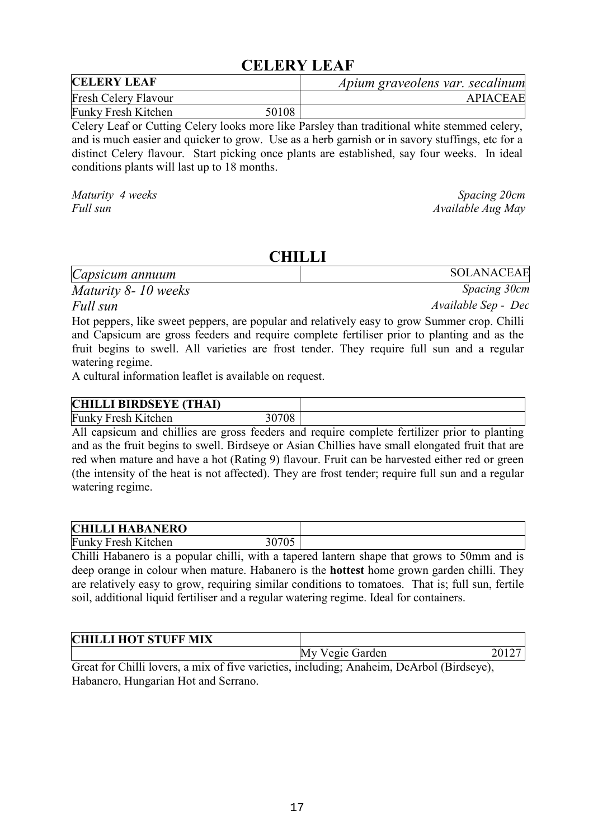#### **CELERY LEAF**

| <b>CELERY LEAF</b>          |       | Apium graveolens var. secalinum |
|-----------------------------|-------|---------------------------------|
| <b>Fresh Celery Flavour</b> |       | <b>APIACEAE</b>                 |
| Funky Fresh Kitchen         | 50108 |                                 |

Celery Leaf or Cutting Celery looks more like Parsley than traditional white stemmed celery, and is much easier and quicker to grow. Use as a herb garnish or in savory stuffings, etc for a distinct Celery flavour. Start picking once plants are established, say four weeks. In ideal conditions plants will last up to 18 months.

*Maturity 4 weeks* Spacing 20cm

*Full sun Available Aug May*

#### **CHILLI**

| Capsicum annuum     | SOLANACEAE   |
|---------------------|--------------|
| Maturity 8-10 weeks | Spacing 30cm |

*Full sun Available Sep - Dec*

Hot peppers, like sweet peppers, are popular and relatively easy to grow Summer crop. Chilli and Capsicum are gross feeders and require complete fertiliser prior to planting and as the fruit begins to swell. All varieties are frost tender. They require full sun and a regular watering regime.

A cultural information leaflet is available on request.

| <b>CHILLI BIRDSEYE (THAI)</b> |            |  |
|-------------------------------|------------|--|
| <b>Funky Fresh Kitchen</b>    | 0708<br>)U |  |

All capsicum and chillies are gross feeders and require complete fertilizer prior to planting and as the fruit begins to swell. Birdseye or Asian Chillies have small elongated fruit that are red when mature and have a hot (Rating 9) flavour. Fruit can be harvested either red or green (the intensity of the heat is not affected). They are frost tender; require full sun and a regular watering regime.

| <b>CHILLI HABANERO</b>     |       |  |
|----------------------------|-------|--|
| <b>Funky Fresh Kitchen</b> | 0705، |  |

Chilli Habanero is a popular chilli, with a tapered lantern shape that grows to 50mm and is deep orange in colour when mature. Habanero is the **hottest** home grown garden chilli. They are relatively easy to grow, requiring similar conditions to tomatoes. That is; full sun, fertile soil, additional liquid fertiliser and a regular watering regime. Ideal for containers.

| <b>CHILLI HOT STUFF MIX</b> |                    |  |
|-----------------------------|--------------------|--|
|                             | Vegie Garden<br>My |  |
| --<br>$\sim$<br>$\sim$      | .<br>_             |  |

Great for Chilli lovers, a mix of five varieties, including; Anaheim, DeArbol (Birdseye), Habanero, Hungarian Hot and Serrano.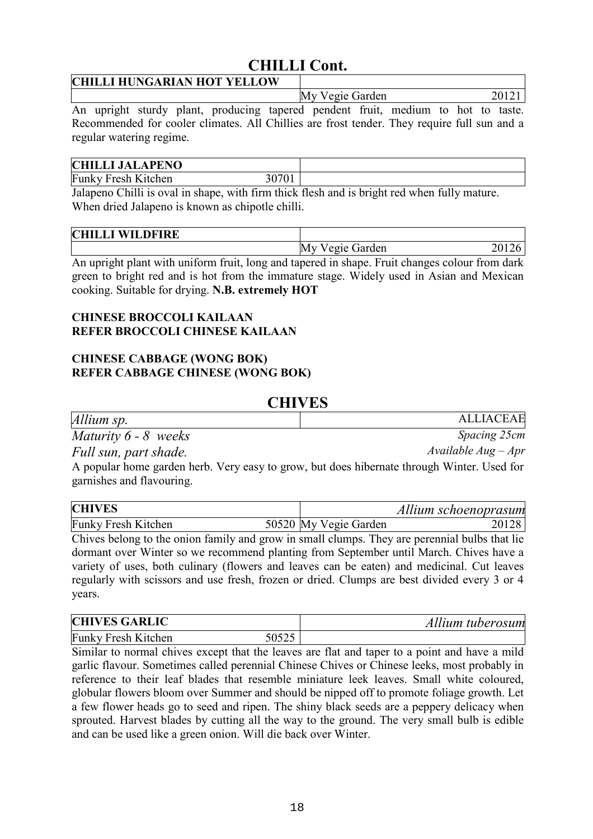## **CHILLI Cont.**

#### **CHILLI HUNGARIAN HOT YELLOW**

My Vegie Garden 20121 An upright sturdy plant, producing tapered pendent fruit, medium to hot to taste.

Recommended for cooler climates. All Chillies are frost tender. They require full sun and a regular watering regime.

#### **CHILLI JALAPENO**

Funky Fresh Kitchen 30701

Jalapeno Chilli is oval in shape, with firm thick flesh and is bright red when fully mature. When dried Jalapeno is known as chipotle chilli.

| CFT<br><b>WILDFIRE</b><br>. . I . I |                       |  |
|-------------------------------------|-----------------------|--|
|                                     | M<br>Garden<br>ραιρ Ι |  |

An upright plant with uniform fruit, long and tapered in shape. Fruit changes colour from dark green to bright red and is hot from the immature stage. Widely used in Asian and Mexican cooking. Suitable for drying. **N.B. extremely HOT**

#### **CHINESE BROCCOLI KAILAAN REFER BROCCOLI CHINESE KAILAAN**

#### **CHINESE CABBAGE (WONG BOK) REFER CABBAGE CHINESE (WONG BOK)**

#### **CHIVES**

| Allium sp.                                                                                                              | <b>ALLIACEAE</b>      |
|-------------------------------------------------------------------------------------------------------------------------|-----------------------|
| Maturity $6 - 8$ weeks                                                                                                  | Spacing 25cm          |
| Full sun, part shade.                                                                                                   | Available $Aug - Apr$ |
| A popular home garden herb. Very easy to grow, but does hibernate through Winter. Used for<br>garnishes and flavouring. |                       |

| <b>CHIVES</b>              | Allium schoenoprasum           |
|----------------------------|--------------------------------|
| <b>Funky Fresh Kitchen</b> | 50520 My Vegie Garden<br>20128 |

Chives belong to the onion family and grow in small clumps. They are perennial bulbs that lie dormant over Winter so we recommend planting from September until March. Chives have a variety of uses, both culinary (flowers and leaves can be eaten) and medicinal. Cut leaves regularly with scissors and use fresh, frozen or dried. Clumps are best divided every 3 or 4 years.

| <b>CHIVES GARLIC</b>       |  | Allium tuberosum |  |
|----------------------------|--|------------------|--|
| <b>Funky Fresh Kitchen</b> |  |                  |  |

Similar to normal chives except that the leaves are flat and taper to a point and have a mild garlic flavour. Sometimes called perennial Chinese Chives or Chinese leeks, most probably in reference to their leaf blades that resemble miniature leek leaves. Small white coloured, globular flowers bloom over Summer and should be nipped off to promote foliage growth. Let a few flower heads go to seed and ripen. The shiny black seeds are a peppery delicacy when sprouted. Harvest blades by cutting all the way to the ground. The very small bulb is edible and can be used like a green onion. Will die back over Winter.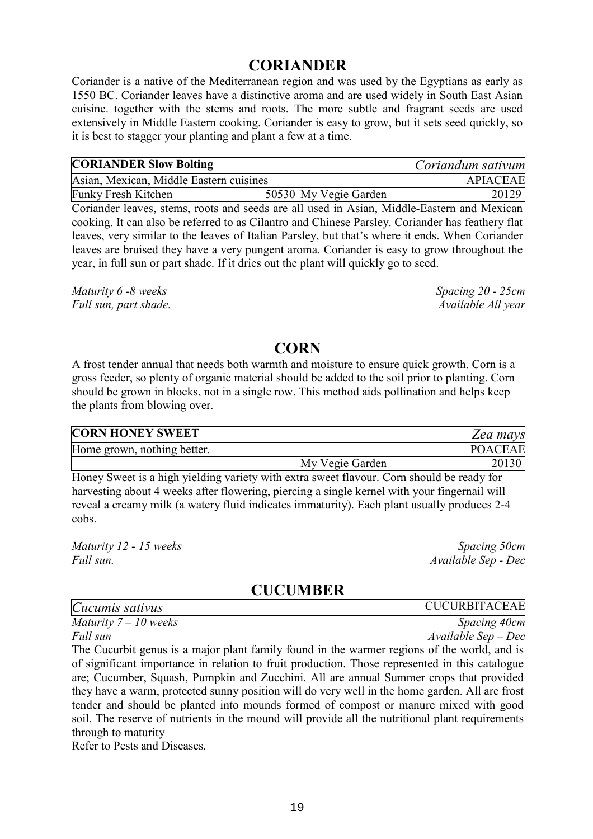#### **CORIANDER**

Coriander is a native of the Mediterranean region and was used by the Egyptians as early as 1550 BC. Coriander leaves have a distinctive aroma and are used widely in South East Asian cuisine. together with the stems and roots. The more subtle and fragrant seeds are used extensively in Middle Eastern cooking. Coriander is easy to grow, but it sets seed quickly, so it is best to stagger your planting and plant a few at a time.

| <b>CORIANDER Slow Bolting</b>           | Coriandum sativum     |                 |  |
|-----------------------------------------|-----------------------|-----------------|--|
| Asian, Mexican, Middle Eastern cuisines |                       | <b>APIACEAE</b> |  |
| <b>Funky Fresh Kitchen</b>              | 50530 My Vegie Garden | 20129           |  |

Coriander leaves, stems, roots and seeds are all used in Asian, Middle-Eastern and Mexican cooking. It can also be referred to as Cilantro and Chinese Parsley. Coriander has feathery flat leaves, very similar to the leaves of Italian Parsley, but that's where it ends. When Coriander leaves are bruised they have a very pungent aroma. Coriander is easy to grow throughout the year, in full sun or part shade. If it dries out the plant will quickly go to seed.

*Maturity 6 -8 weeks Spacing 20 - 25cm Full sun, part shade.* Available All year and the Available All year Available All year

## **CORN**

A frost tender annual that needs both warmth and moisture to ensure quick growth. Corn is a gross feeder, so plenty of organic material should be added to the soil prior to planting. Corn should be grown in blocks, not in a single row. This method aids pollination and helps keep the plants from blowing over.

| <b>CORN HONEY SWEET</b>     |                 | Zea mays       |
|-----------------------------|-----------------|----------------|
| Home grown, nothing better. |                 | <b>POACEAE</b> |
|                             | My Vegie Garden | 20130          |

Honey Sweet is a high yielding variety with extra sweet flavour. Corn should be ready for harvesting about 4 weeks after flowering, piercing a single kernel with your fingernail will reveal a creamy milk (a watery fluid indicates immaturity). Each plant usually produces 2-4 cobs.

*Maturity 12 - 15 weeks* Spacing 50cm *Full sun. Available Sep - Dec*

## **CUCUMBER**

| Cucumis sativus       | <b>CUCURBITACEAE</b>    |
|-----------------------|-------------------------|
| Maturity $7-10$ weeks | Spacing 40cm            |
| Full sun              | $Available$ Sep $-$ Dec |

The Cucurbit genus is a major plant family found in the warmer regions of the world, and is of significant importance in relation to fruit production. Those represented in this catalogue are; Cucumber, Squash, Pumpkin and Zucchini. All are annual Summer crops that provided they have a warm, protected sunny position will do very well in the home garden. All are frost tender and should be planted into mounds formed of compost or manure mixed with good soil. The reserve of nutrients in the mound will provide all the nutritional plant requirements through to maturity

Refer to Pests and Diseases.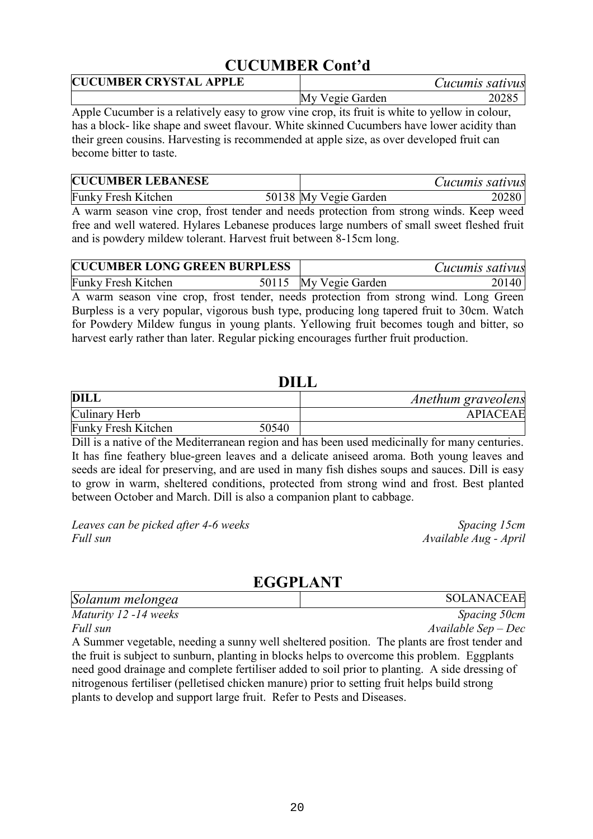## **CUCUMBER Cont'd**

| <b>CUCUMBER CRYSTAL APPLE</b> | Cucumis sativus |       |
|-------------------------------|-----------------|-------|
|                               | My Vegie Garden | 20285 |

Apple Cucumber is a relatively easy to grow vine crop, its fruit is white to yellow in colour, has a block- like shape and sweet flavour. White skinned Cucumbers have lower acidity than their green cousins. Harvesting is recommended at apple size, as over developed fruit can become bitter to taste.

| <b>CUCUMBER LEBANESE</b>   |                       | Cucumis sativus |
|----------------------------|-----------------------|-----------------|
| <b>Funky Fresh Kitchen</b> | 50138 My Vegie Garden | 20280           |

A warm season vine crop, frost tender and needs protection from strong winds. Keep weed free and well watered. Hylares Lebanese produces large numbers of small sweet fleshed fruit and is powdery mildew tolerant. Harvest fruit between 8-15cm long.

| <b>CUCUMBER LONG GREEN BURPLESS</b> |  | Cucumis sativus       |       |
|-------------------------------------|--|-----------------------|-------|
| <b>Funky Fresh Kitchen</b>          |  | 50115 My Vegie Garden | 20140 |

A warm season vine crop, frost tender, needs protection from strong wind. Long Green Burpless is a very popular, vigorous bush type, producing long tapered fruit to 30cm. Watch for Powdery Mildew fungus in young plants. Yellowing fruit becomes tough and bitter, so harvest early rather than later. Regular picking encourages further fruit production.

#### **DILL**

| DILL                       |       | Anethum graveolens |
|----------------------------|-------|--------------------|
| Culinary Herb              |       | <b>APIACEAE</b>    |
| <b>Funky Fresh Kitchen</b> | 50540 |                    |

Dill is a native of the Mediterranean region and has been used medicinally for many centuries. It has fine feathery blue-green leaves and a delicate aniseed aroma. Both young leaves and seeds are ideal for preserving, and are used in many fish dishes soups and sauces. Dill is easy to grow in warm, sheltered conditions, protected from strong wind and frost. Best planted between October and March. Dill is also a companion plant to cabbage.

*Leaves can be picked after 4-6 weeks Spacing 15cm Full sun Available Aug - April*

## **EGGPLANT**

| Solanum melongea                                                                                   | <b>SOLANACEAE</b>      |
|----------------------------------------------------------------------------------------------------|------------------------|
| Maturity 12 -14 weeks                                                                              | <i>Spacing 50cm</i>    |
| Full sun                                                                                           | $A$ vailable Sep – Dec |
| A Summer vegetable, needing a sunny well sheltered position. The plants are frost tender and       |                        |
| the furth is subject to quality a denting in blocks helme to excuse use this much lease. Exculents |                        |

the fruit is subject to sunburn, planting in blocks helps to overcome this problem. Eggplants need good drainage and complete fertiliser added to soil prior to planting. A side dressing of nitrogenous fertiliser (pelletised chicken manure) prior to setting fruit helps build strong plants to develop and support large fruit. Refer to Pests and Diseases.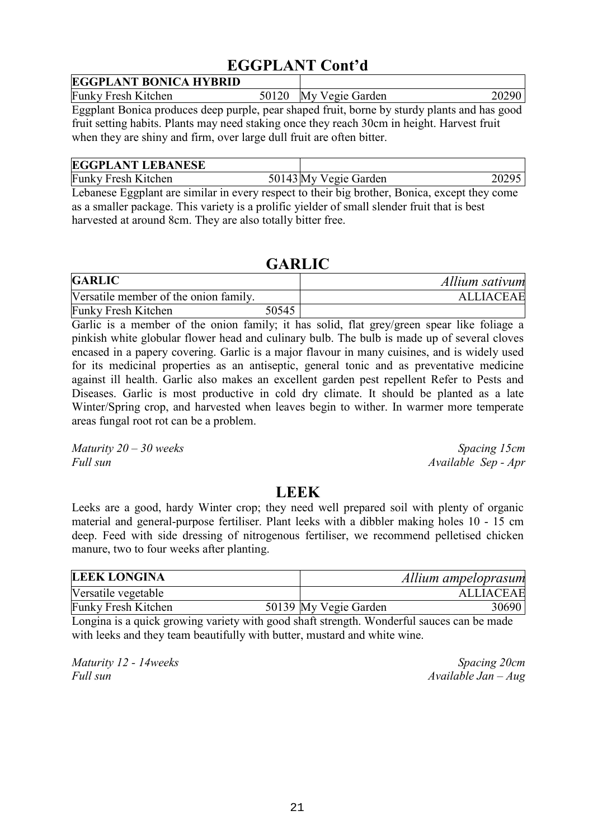## **EGGPLANT Cont'd**

| <b>EGGPLANT BONICA HYBRID</b>                                                                |  |                       |       |
|----------------------------------------------------------------------------------------------|--|-----------------------|-------|
| <b>Funky Fresh Kitchen</b>                                                                   |  | 50120 My Vegie Garden | 20290 |
| Eggplant Bonica produces deep purple, pear shaped fruit, borne by sturdy plants and has good |  |                       |       |
| fruit setting habits. Plants may need staking once they reach 30cm in height. Harvest fruit  |  |                       |       |
| when they are shiny and firm, over large dull fruit are often bitter.                        |  |                       |       |

| <b>EGGPLANT LEBANESE</b>   |                       |       |
|----------------------------|-----------------------|-------|
| <b>Funky Fresh Kitchen</b> | 50143 My Vegie Garden | 20295 |

Lebanese Eggplant are similar in every respect to their big brother, Bonica, except they come as a smaller package. This variety is a prolific yielder of small slender fruit that is best harvested at around 8cm. They are also totally bitter free.

## **GARLIC**

| <b>GARLIC</b>                         |       | Allium sativum   |
|---------------------------------------|-------|------------------|
| Versatile member of the onion family. |       | <b>ALLIACEAE</b> |
| <b>Funky Fresh Kitchen</b>            | 50545 |                  |

Garlic is a member of the onion family; it has solid, flat grey/green spear like foliage a pinkish white globular flower head and culinary bulb. The bulb is made up of several cloves encased in a papery covering. Garlic is a major flavour in many cuisines, and is widely used for its medicinal properties as an antiseptic, general tonic and as preventative medicine against ill health. Garlic also makes an excellent garden pest repellent Refer to Pests and Diseases. Garlic is most productive in cold dry climate. It should be planted as a late Winter/Spring crop, and harvested when leaves begin to wither. In warmer more temperate areas fungal root rot can be a problem.

*Maturity 20 – 30 weeks* Spacing 15cm *Full sun Available Sep - Apr*

## **LEEK**

Leeks are a good, hardy Winter crop; they need well prepared soil with plenty of organic material and general-purpose fertiliser. Plant leeks with a dibbler making holes 10 - 15 cm deep. Feed with side dressing of nitrogenous fertiliser, we recommend pelletised chicken manure, two to four weeks after planting.

| <b>LEEK LONGINA</b>        |                       | Allium ampeloprasum |
|----------------------------|-----------------------|---------------------|
| Versatile vegetable        |                       | <b>ALLIACEAE</b>    |
| <b>Funky Fresh Kitchen</b> | 50139 My Vegie Garden | 30690               |

Longina is a quick growing variety with good shaft strength. Wonderful sauces can be made with leeks and they team beautifully with butter, mustard and white wine.

*Maturity 12 - 14weeks Spacing 20cm Full sun Available Jan – Aug*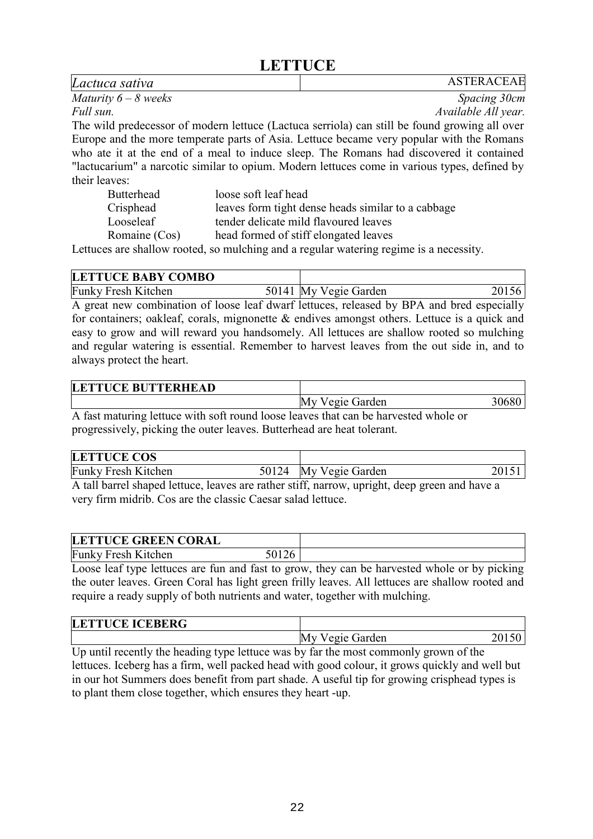## **LETTUCE**

*Lactuca sativa* ASTERACEAE *Maturity 6 – 8 weeks Spacing 30cm Full sun. Available All year.* The wild predecessor of modern lettuce (Lactuca serriola) can still be found growing all over Europe and the more temperate parts of Asia. Lettuce became very popular with the Romans who ate it at the end of a meal to induce sleep. The Romans had discovered it contained "lactucarium" a narcotic similar to opium. Modern lettuces come in various types, defined by their leaves: Butterhead loose soft leaf head

| Crisphead     | leaves form tight dense heads similar to a cabbage |
|---------------|----------------------------------------------------|
| Looseleaf     | tender delicate mild flavoured leaves              |
| Romaine (Cos) | head formed of stiff elongated leaves              |

Lettuces are shallow rooted, so mulching and a regular watering regime is a necessity.

| <b>LETTUCE BABY COMBO</b>  |                       |       |
|----------------------------|-----------------------|-------|
| <b>Funky Fresh Kitchen</b> | 50141 My Vegie Garden | 20156 |

A great new combination of loose leaf dwarf lettuces, released by BPA and bred especially for containers; oakleaf, corals, mignonette  $\&$  endives amongst others. Lettuce is a quick and easy to grow and will reward you handsomely. All lettuces are shallow rooted so mulching and regular watering is essential. Remember to harvest leaves from the out side in, and to always protect the heart.

| <b>LETTUCE BUTTERHEAD</b> |                 |       |
|---------------------------|-----------------|-------|
|                           | My Vegie Garden | 30680 |

A fast maturing lettuce with soft round loose leaves that can be harvested whole or progressively, picking the outer leaves. Butterhead are heat tolerant.

| <b>Funky Fresh Kitchen</b><br>50124 My Vegie Garden |  |
|-----------------------------------------------------|--|

A tall barrel shaped lettuce, leaves are rather stiff, narrow, upright, deep green and have a very firm midrib. Cos are the classic Caesar salad lettuce.

| <b>LETTUCE GREEN CORAL</b> |       |  |
|----------------------------|-------|--|
| <b>Funky Fresh Kitchen</b> | 50126 |  |

Loose leaf type lettuces are fun and fast to grow, they can be harvested whole or by picking the outer leaves. Green Coral has light green frilly leaves. All lettuces are shallow rooted and require a ready supply of both nutrients and water, together with mulching.

| <b>LETTUCE ICEBERG</b> |                    |  |
|------------------------|--------------------|--|
|                        | Vegie Garden<br>My |  |

Up until recently the heading type lettuce was by far the most commonly grown of the lettuces. Iceberg has a firm, well packed head with good colour, it grows quickly and well but in our hot Summers does benefit from part shade. A useful tip for growing crisphead types is to plant them close together, which ensures they heart -up.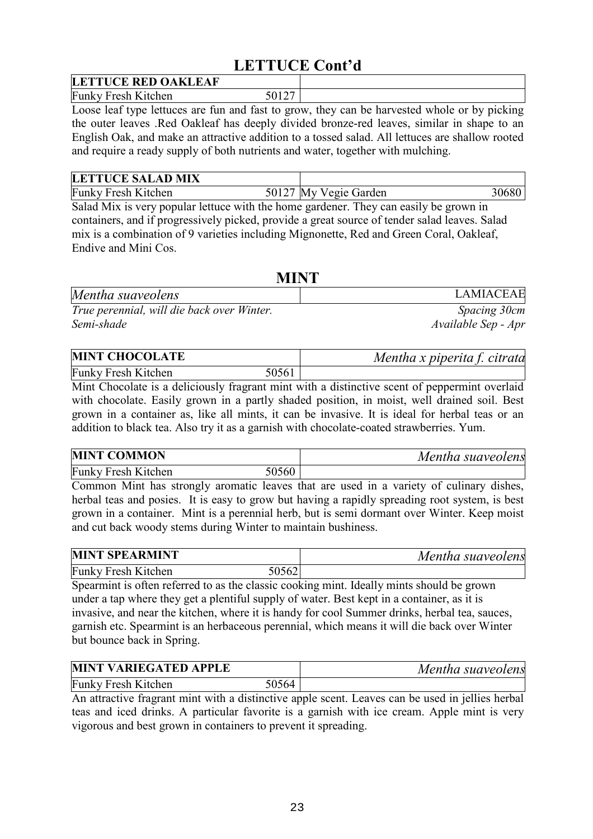## **LETTUCE Cont'd**

| <b>LETTUCE RED OAKLEAF</b> |  |
|----------------------------|--|
| <b>Funky Fresh Kitchen</b> |  |

Loose leaf type lettuces are fun and fast to grow, they can be harvested whole or by picking the outer leaves .Red Oakleaf has deeply divided bronze-red leaves, similar in shape to an English Oak, and make an attractive addition to a tossed salad. All lettuces are shallow rooted and require a ready supply of both nutrients and water, together with mulching.

| <b>LETTUCE SALAD MIX</b>   |                       |       |
|----------------------------|-----------------------|-------|
| <b>Funky Fresh Kitchen</b> | 50127 My Vegie Garden | 30680 |

Salad Mix is very popular lettuce with the home gardener. They can easily be grown in containers, and if progressively picked, provide a great source of tender salad leaves. Salad mix is a combination of 9 varieties including Mignonette, Red and Green Coral, Oakleaf, Endive and Mini Cos.

| <b>MINT</b>                                |                     |
|--------------------------------------------|---------------------|
| Mentha suaveolens                          | <b>LAMIACEAE</b>    |
| True perennial, will die back over Winter. | Spacing 30cm        |
| Semi-shade                                 | Available Sep - Apr |

| <b>MINT CHOCOLATE</b>      |       | Mentha x piperita f. citrata |
|----------------------------|-------|------------------------------|
| <b>Funky Fresh Kitchen</b> | 50561 |                              |

Mint Chocolate is a deliciously fragrant mint with a distinctive scent of peppermint overlaid with chocolate. Easily grown in a partly shaded position, in moist, well drained soil. Best grown in a container as, like all mints, it can be invasive. It is ideal for herbal teas or an addition to black tea. Also try it as a garnish with chocolate-coated strawberries. Yum.

| <b>MINT COMMON</b>         |       | Mentha suaveolens |
|----------------------------|-------|-------------------|
| <b>Funky Fresh Kitchen</b> | 50560 |                   |

Common Mint has strongly aromatic leaves that are used in a variety of culinary dishes, herbal teas and posies. It is easy to grow but having a rapidly spreading root system, is best grown in a container. Mint is a perennial herb, but is semi dormant over Winter. Keep moist and cut back woody stems during Winter to maintain bushiness.

| <b>MINT SPEARMINT</b>      |       | Mentha suaveolens |
|----------------------------|-------|-------------------|
| <b>Funky Fresh Kitchen</b> | 50562 |                   |

Spearmint is often referred to as the classic cooking mint. Ideally mints should be grown under a tap where they get a plentiful supply of water. Best kept in a container, as it is invasive, and near the kitchen, where it is handy for cool Summer drinks, herbal tea, sauces, garnish etc. Spearmint is an herbaceous perennial, which means it will die back over Winter but bounce back in Spring.

| <b>MINT VARIEGATED APPLE</b> |       | Mentha suaveolens |
|------------------------------|-------|-------------------|
| <b>Funky Fresh Kitchen</b>   | 50564 |                   |

An attractive fragrant mint with a distinctive apple scent. Leaves can be used in jellies herbal teas and iced drinks. A particular favorite is a garnish with ice cream. Apple mint is very vigorous and best grown in containers to prevent it spreading.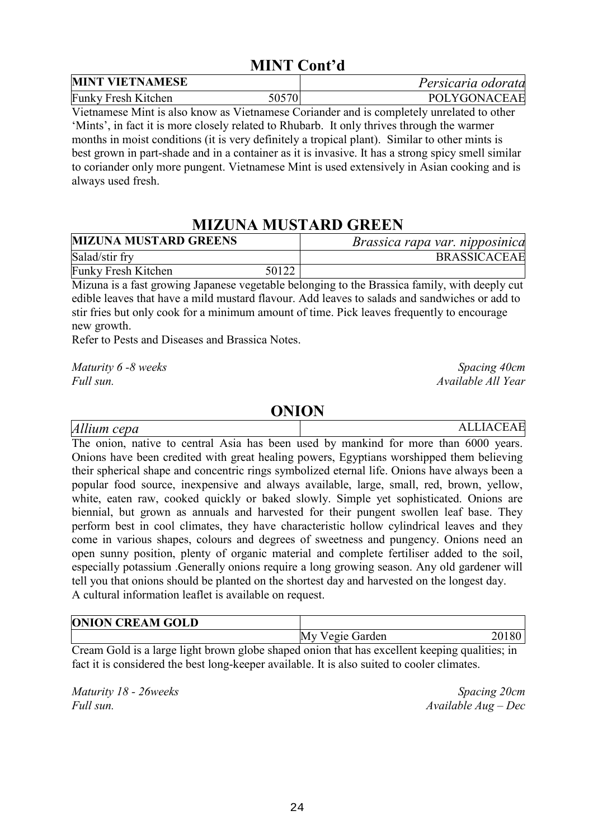## **MINT Cont'd**

| <b>MINT VIETNAMESE</b>     |       | Persicaria odorata |
|----------------------------|-------|--------------------|
| <b>Funky Fresh Kitchen</b> | 50570 | POLYGONACEAE       |

Vietnamese Mint is also know as Vietnamese Coriander and is completely unrelated to other 'Mints', in fact it is more closely related to Rhubarb. It only thrives through the warmer months in moist conditions (it is very definitely a tropical plant). Similar to other mints is best grown in part-shade and in a container as it is invasive. It has a strong spicy smell similar to coriander only more pungent. Vietnamese Mint is used extensively in Asian cooking and is always used fresh.

## **MIZUNA MUSTARD GREEN**

| <b>MIZUNA MUSTARD GREENS</b> |       | Brassica rapa var. nipposinica |
|------------------------------|-------|--------------------------------|
| Salad/stir fry               |       | <b>BRASSICACEAE</b>            |
| <b>Funky Fresh Kitchen</b>   | 50122 |                                |

Mizuna is a fast growing Japanese vegetable belonging to the Brassica family, with deeply cut edible leaves that have a mild mustard flavour. Add leaves to salads and sandwiches or add to stir fries but only cook for a minimum amount of time. Pick leaves frequently to encourage new growth.

Refer to Pests and Diseases and Brassica Notes.

*Maturity 6 -8 weeks* Spacing 40cm *Full sun. Available All Year*

#### **ONION**

*Allium cepa* ALLIACEAE

The onion, native to central Asia has been used by mankind for more than 6000 years. Onions have been credited with great healing powers, Egyptians worshipped them believing their spherical shape and concentric rings symbolized eternal life. Onions have always been a popular food source, inexpensive and always available, large, small, red, brown, yellow, white, eaten raw, cooked quickly or baked slowly. Simple yet sophisticated. Onions are biennial, but grown as annuals and harvested for their pungent swollen leaf base. They perform best in cool climates, they have characteristic hollow cylindrical leaves and they come in various shapes, colours and degrees of sweetness and pungency. Onions need an open sunny position, plenty of organic material and complete fertiliser added to the soil, especially potassium .Generally onions require a long growing season. Any old gardener will tell you that onions should be planted on the shortest day and harvested on the longest day. A cultural information leaflet is available on request.

| <b>ONION CREAM GOLD</b> |                       |
|-------------------------|-----------------------|
|                         | My Vegie Garden<br>80 |

Cream Gold is a large light brown globe shaped onion that has excellent keeping qualities; in fact it is considered the best long-keeper available. It is also suited to cooler climates.

*Maturity 18 - 26weeks* Spacing 20cm *Full sun. Available Aug – Dec*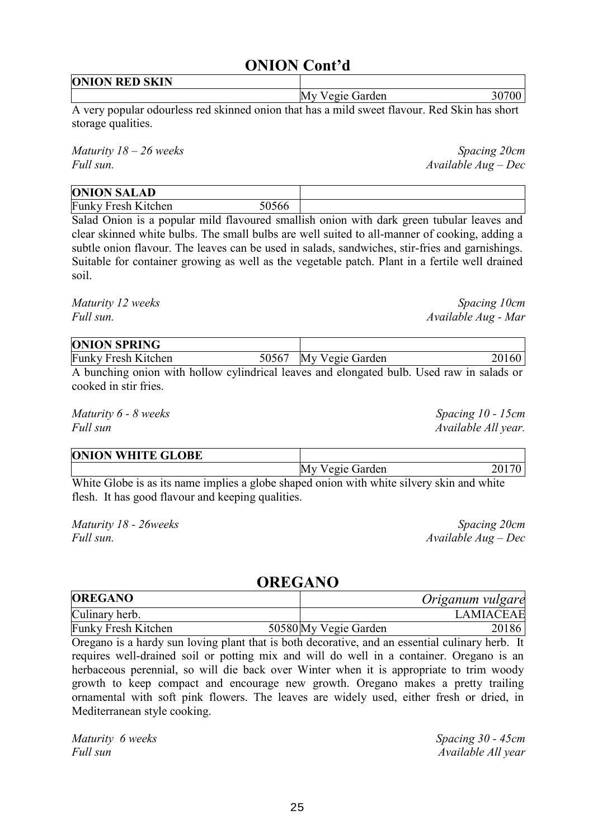## **ONION Cont'd**

**ONION RED SKIN** 

My Vegie Garden 30700

A very popular odourless red skinned onion that has a mild sweet flavour. Red Skin has short storage qualities.

*Maturity 18 – 26 weeks* Spacing 20cm *Full sun. Available Aug – Dec*

| <b>ONION SALAD</b>         |       |  |
|----------------------------|-------|--|
| <b>Funky Fresh Kitchen</b> | 50566 |  |

Salad Onion is a popular mild flavoured smallish onion with dark green tubular leaves and clear skinned white bulbs. The small bulbs are well suited to all-manner of cooking, adding a subtle onion flavour. The leaves can be used in salads, sandwiches, stir-fries and garnishings. Suitable for container growing as well as the vegetable patch. Plant in a fertile well drained soil.

*Maturity 12 weeks* Spacing 10cm *Full sun. Available Aug - Mar*

| <b>ONION SPRING</b>                                                                        |                       |       |
|--------------------------------------------------------------------------------------------|-----------------------|-------|
| <b>Funky Fresh Kitchen</b>                                                                 | 50567 My Vegie Garden | 20160 |
| A bungking onion with hollow overlingting looves and clangeted bulb. Head row in solads or |                       |       |

A bunching onion with hollow cylindrical leaves and elongated bulb. Used raw in salads or cooked in stir fries.

*Maturity 6 - 8 weeks* Spacing 10 - 15cm *Full sun Available All year.*

| <b>ONION WHITE GLOBE</b>                                                                                                                                                                                                                                                                         |  |  |                 |  |  |  |
|--------------------------------------------------------------------------------------------------------------------------------------------------------------------------------------------------------------------------------------------------------------------------------------------------|--|--|-----------------|--|--|--|
|                                                                                                                                                                                                                                                                                                  |  |  | My Vegie Garden |  |  |  |
| $\mathbf{v}$ and $\mathbf{v}$ and $\mathbf{v}$ and $\mathbf{v}$ and $\mathbf{v}$ and $\mathbf{v}$ and $\mathbf{v}$ and $\mathbf{v}$ and $\mathbf{v}$ and $\mathbf{v}$ and $\mathbf{v}$ and $\mathbf{v}$ and $\mathbf{v}$ and $\mathbf{v}$ and $\mathbf{v}$ and $\mathbf{v}$ and $\mathbf{v}$ and |  |  |                 |  |  |  |

White Globe is as its name implies a globe shaped onion with white silvery skin and white flesh. It has good flavour and keeping qualities.

*Maturity 18 - 26weeks* Spacing 20cm *Full sun. Available Aug – Dec*

#### **OREGANO**

| <b>OREGANO</b>             | Origanum vulgare      |       |
|----------------------------|-----------------------|-------|
| Culinary herb.             | <b>LAMIACEAE</b>      |       |
| <b>Funky Fresh Kitchen</b> | 50580 My Vegie Garden | 20186 |

Oregano is a hardy sun loving plant that is both decorative, and an essential culinary herb. It requires well-drained soil or potting mix and will do well in a container. Oregano is an herbaceous perennial, so will die back over Winter when it is appropriate to trim woody growth to keep compact and encourage new growth. Oregano makes a pretty trailing ornamental with soft pink flowers. The leaves are widely used, either fresh or dried, in Mediterranean style cooking.

*Maturity 6 weeks Spacing 30 - 45cm Full sun Available All year*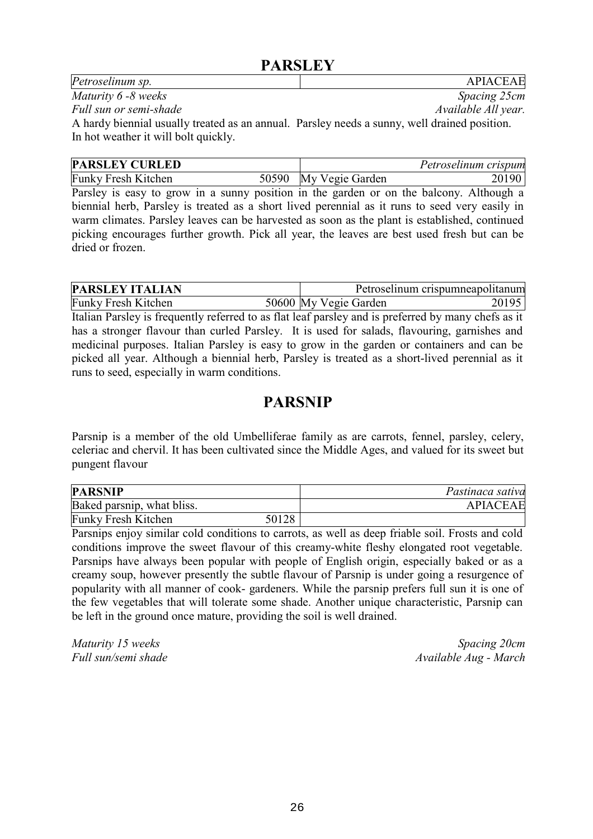## **PARSLEY**

| <b>APIACEAE</b>                                                                              |
|----------------------------------------------------------------------------------------------|
| Spacing 25cm                                                                                 |
| Available All year.                                                                          |
| A hardy biennial usually treated as an annual. Parsley needs a sunny, well drained position. |
|                                                                                              |
|                                                                                              |

|                                                        | Petroselinum crispum |
|--------------------------------------------------------|----------------------|
| <b>Funky Fresh Kitchen</b><br>My Vegie Garden<br>50590 |                      |

Parsley is easy to grow in a sunny position in the garden or on the balcony. Although a biennial herb, Parsley is treated as a short lived perennial as it runs to seed very easily in warm climates. Parsley leaves can be harvested as soon as the plant is established, continued picking encourages further growth. Pick all year, the leaves are best used fresh but can be dried or frozen.

| <b>PARSLEY ITALIAN</b>                                                                              |                       | Petroselinum crispumneapolitanum |
|-----------------------------------------------------------------------------------------------------|-----------------------|----------------------------------|
| <b>Funky Fresh Kitchen</b>                                                                          | 50600 My Vegie Garden | 20195                            |
| Italian Parsley is frequently referred to as flat leaf parsley and is preferred by many chefs as it |                       |                                  |
| has a stronger flavour than curled Parsley. It is used for salads, flavouring, garnishes and        |                       |                                  |
| medicinal purposes. Italian Parsley is easy to grow in the garden or containers and can be          |                       |                                  |
| picked all year. Although a biennial herb, Parsley is treated as a short-lived perennial as it      |                       |                                  |
| runs to seed, especially in warm conditions.                                                        |                       |                                  |

## **PARSNIP**

Parsnip is a member of the old Umbelliferae family as are carrots, fennel, parsley, celery, celeriac and chervil. It has been cultivated since the Middle Ages, and valued for its sweet but pungent flavour

| <b>PARSNIP</b>             |       | Pastinaca sativa |
|----------------------------|-------|------------------|
| Baked parsnip, what bliss. |       | <b>APIACEAE</b>  |
| <b>Funky Fresh Kitchen</b> | 50128 |                  |

Parsnips enjoy similar cold conditions to carrots, as well as deep friable soil. Frosts and cold conditions improve the sweet flavour of this creamy-white fleshy elongated root vegetable. Parsnips have always been popular with people of English origin, especially baked or as a creamy soup, however presently the subtle flavour of Parsnip is under going a resurgence of popularity with all manner of cook- gardeners. While the parsnip prefers full sun it is one of the few vegetables that will tolerate some shade. Another unique characteristic, Parsnip can be left in the ground once mature, providing the soil is well drained.

*Maturity 15 weeks* Spacing 20cm *Full sun/semi shade* Available Aug - March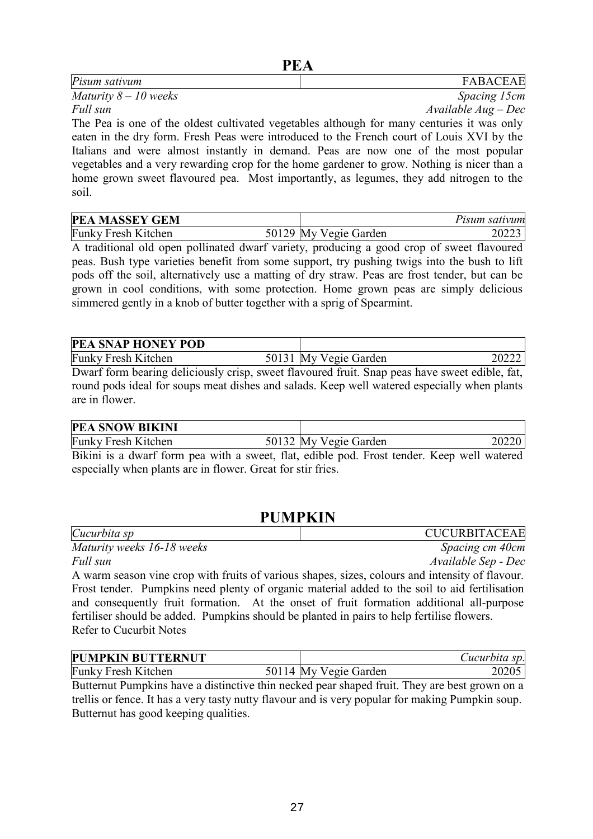| Pisum sativum                                                                              | <b>FABACEAE</b>     |
|--------------------------------------------------------------------------------------------|---------------------|
| Maturity $8-10$ weeks                                                                      | Spacing 15cm        |
| Full sun                                                                                   | $Available Aug-Dec$ |
| The Pea is one of the oldest cultivated vegetables although for many centuries it was only |                     |

The Pea is one of the oldest cultivated vegetables although for many centuries it was only eaten in the dry form. Fresh Peas were introduced to the French court of Louis XVI by the Italians and were almost instantly in demand. Peas are now one of the most popular vegetables and a very rewarding crop for the home gardener to grow. Nothing is nicer than a home grown sweet flavoured pea. Most importantly, as legumes, they add nitrogen to the soil.

| <b>PEA MASSEY GEM</b>      |                       | Pisum sativum |
|----------------------------|-----------------------|---------------|
| <b>Funky Fresh Kitchen</b> | 50129 My Vegie Garden | 20223         |

A traditional old open pollinated dwarf variety, producing a good crop of sweet flavoured peas. Bush type varieties benefit from some support, try pushing twigs into the bush to lift pods off the soil, alternatively use a matting of dry straw. Peas are frost tender, but can be grown in cool conditions, with some protection. Home grown peas are simply delicious simmered gently in a knob of butter together with a sprig of Spearmint.

| <b>PEA SNAP HONEY POD</b>                                                                      |                       |       |
|------------------------------------------------------------------------------------------------|-----------------------|-------|
| <b>Funky Fresh Kitchen</b>                                                                     | 50131 My Vegie Garden | 20222 |
| Dwarf form bearing deliciously crisp, sweet flavoured fruit. Snap peas have sweet edible, fat, |                       |       |

round pods ideal for soups meat dishes and salads. Keep well watered especially when plants are in flower.

| <b>PEA SNOW BIKINI</b>                                                |                                      |       |
|-----------------------------------------------------------------------|--------------------------------------|-------|
| <b>Funky Fresh Kitchen</b>                                            | 50132 My Vegie Garden                | 20220 |
| $\mathbf{D}^{11}$ $\mathbf{I}$ $\mathbf{I}$ $\mathbf{A}$ $\mathbf{A}$ | $\mathbf{1}$ $\mathbf{1}$<br>- 111 1 |       |

Bikini is a dwarf form pea with a sweet, flat, edible pod. Frost tender. Keep well watered especially when plants are in flower. Great for stir fries.

## **PUMPKIN**

| Cucurbita sp                                                                                    | <b>CUCURBITACEAE</b> |
|-------------------------------------------------------------------------------------------------|----------------------|
| Maturity weeks 16-18 weeks                                                                      | Spacing cm 40cm      |
| Full sun                                                                                        | Available Sep - Dec  |
| A warm season vine crop with fruits of various shapes, sizes, colours and intensity of flavour. |                      |
| Frost tender. Pumpkins need plenty of organic material added to the soil to aid fertilisation   |                      |
| and consequently fruit formation. At the onset of fruit formation additional all-purpose        |                      |

and consequently fruit formation. At the onset of fruit formation additional all-purpose fertiliser should be added. Pumpkins should be planted in pairs to help fertilise flowers. Refer to Cucurbit Notes

| <b>PUMPKIN BUTTERNUT</b>   |                       | Cucurbita sp. |
|----------------------------|-----------------------|---------------|
| <b>Funky Fresh Kitchen</b> | 50114 My Vegie Garden | 20205         |

Butternut Pumpkins have a distinctive thin necked pear shaped fruit. They are best grown on a trellis or fence. It has a very tasty nutty flavour and is very popular for making Pumpkin soup. Butternut has good keeping qualities.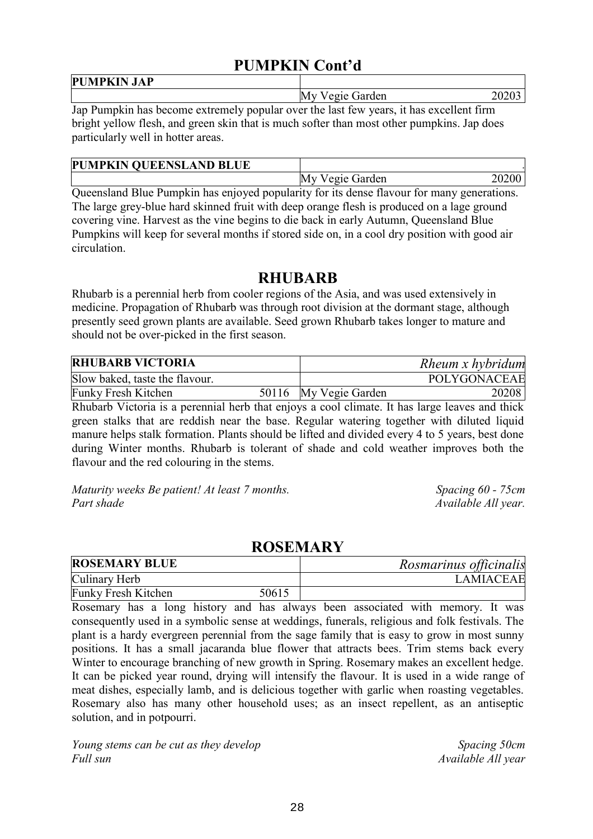## **PUMPKIN Cont'd**

| <b>*******</b><br><b>PUM</b><br><b>JAP</b><br>'PK<br>n |                                               |
|--------------------------------------------------------|-----------------------------------------------|
|                                                        | M١<br>Garden<br>$^{\circ}$ 01 $^{\circ}$<br>ູ |

Jap Pumpkin has become extremely popular over the last few years, it has excellent firm bright yellow flesh, and green skin that is much softer than most other pumpkins. Jap does particularly well in hotter areas.

| <b>PUMPKIN QUEENSLAND BLUE</b> |                    |  |
|--------------------------------|--------------------|--|
|                                | Vegie Garden<br>Mv |  |

Queensland Blue Pumpkin has enjoyed popularity for its dense flavour for many generations. The large grey-blue hard skinned fruit with deep orange flesh is produced on a lage ground covering vine. Harvest as the vine begins to die back in early Autumn, Queensland Blue Pumpkins will keep for several months if stored side on, in a cool dry position with good air circulation.

#### **RHUBARB**

Rhubarb is a perennial herb from cooler regions of the Asia, and was used extensively in medicine. Propagation of Rhubarb was through root division at the dormant stage, although presently seed grown plants are available. Seed grown Rhubarb takes longer to mature and should not be over-picked in the first season.

| <b>RHUBARB VICTORIA</b>        |                       | Rheum x hybridum |
|--------------------------------|-----------------------|------------------|
| Slow baked, taste the flavour. |                       | POLYGONACEAE     |
| <b>Funky Fresh Kitchen</b>     | 50116 My Vegie Garden | 20208            |

Rhubarb Victoria is a perennial herb that enjoys a cool climate. It has large leaves and thick green stalks that are reddish near the base. Regular watering together with diluted liquid manure helps stalk formation. Plants should be lifted and divided every 4 to 5 years, best done during Winter months. Rhubarb is tolerant of shade and cold weather improves both the flavour and the red colouring in the stems.

*Maturity weeks Be patient! At least 7 months. Spacing 60 - 75cm Part shade Available All year.* 

#### **ROSEMARY**

| <b>ROSEMARY BLUE</b> |       | Rosmarinus officinalis |
|----------------------|-------|------------------------|
| Culinary Herb        |       | <b>LAMIACEAE</b>       |
| Funky Fresh Kitchen  | 50615 |                        |

Rosemary has a long history and has always been associated with memory. It was consequently used in a symbolic sense at weddings, funerals, religious and folk festivals. The plant is a hardy evergreen perennial from the sage family that is easy to grow in most sunny positions. It has a small jacaranda blue flower that attracts bees. Trim stems back every Winter to encourage branching of new growth in Spring. Rosemary makes an excellent hedge. It can be picked year round, drying will intensify the flavour. It is used in a wide range of meat dishes, especially lamb, and is delicious together with garlic when roasting vegetables. Rosemary also has many other household uses; as an insect repellent, as an antiseptic solution, and in potpourri.

*Young stems can be cut as they develop* Spacing 50cm *Full sun Available All year*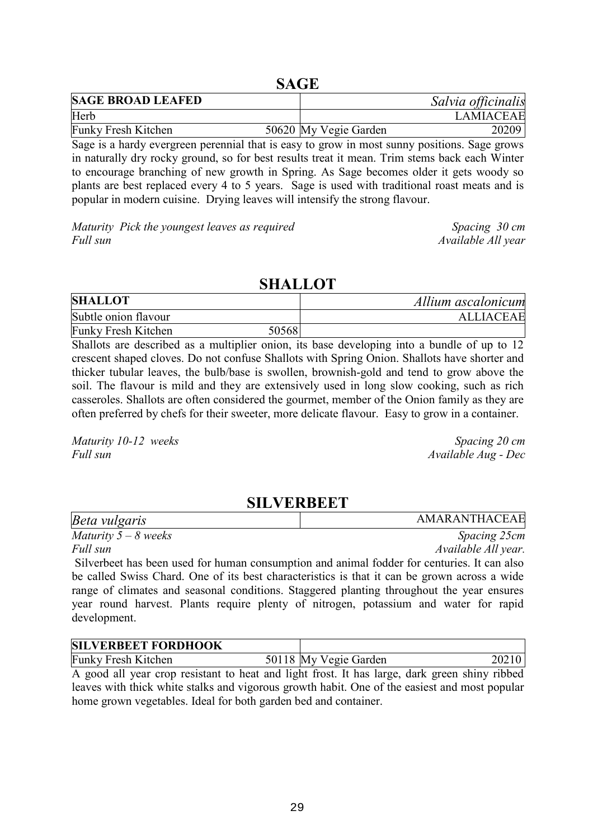#### **SAGE**

| <b>SAGE BROAD LEAFED</b>   |                       | Salvia officinalis |
|----------------------------|-----------------------|--------------------|
| Herb                       |                       | <b>LAMIACEAE</b>   |
| <b>Funky Fresh Kitchen</b> | 50620 My Vegie Garden | 20209              |

Sage is a hardy evergreen perennial that is easy to grow in most sunny positions. Sage grows in naturally dry rocky ground, so for best results treat it mean. Trim stems back each Winter to encourage branching of new growth in Spring. As Sage becomes older it gets woody so plants are best replaced every 4 to 5 years. Sage is used with traditional roast meats and is popular in modern cuisine. Drying leaves will intensify the strong flavour.

*Maturity Pick the youngest leaves as required Spacing 30 cm Full sun Available All year*

#### **SHALLOT**

| <b>SHALLOT</b>       |       | Allium ascalonicum |
|----------------------|-------|--------------------|
| Subtle onion flavour |       | <b>ALLIACEAE</b>   |
| Funky Fresh Kitchen  | 50568 |                    |

Shallots are described as a multiplier onion, its base developing into a bundle of up to 12 crescent shaped cloves. Do not confuse Shallots with Spring Onion. Shallots have shorter and thicker tubular leaves, the bulb/base is swollen, brownish-gold and tend to grow above the soil. The flavour is mild and they are extensively used in long slow cooking, such as rich casseroles. Shallots are often considered the gourmet, member of the Onion family as they are often preferred by chefs for their sweeter, more delicate flavour. Easy to grow in a container.

*Maturity 10-12 weeks* Spacing 20 *cm Full sun Available Aug - Dec*

#### **SILVERBEET**

| Beta vulgaris        | AMARANTHACEAE |
|----------------------|---------------|
| Maturity $5-8$ weeks | Spacing 25cm  |

*Full sun Available All year.*

Silverbeet has been used for human consumption and animal fodder for centuries. It can also be called Swiss Chard. One of its best characteristics is that it can be grown across a wide range of climates and seasonal conditions. Staggered planting throughout the year ensures year round harvest. Plants require plenty of nitrogen, potassium and water for rapid development.

| <b>SILVERBEET FORDHOOK</b> |                       |       |
|----------------------------|-----------------------|-------|
| <b>Funky Fresh Kitchen</b> | 50118 My Vegie Garden | 20210 |

A good all year crop resistant to heat and light frost. It has large, dark green shiny ribbed leaves with thick white stalks and vigorous growth habit. One of the easiest and most popular home grown vegetables. Ideal for both garden bed and container.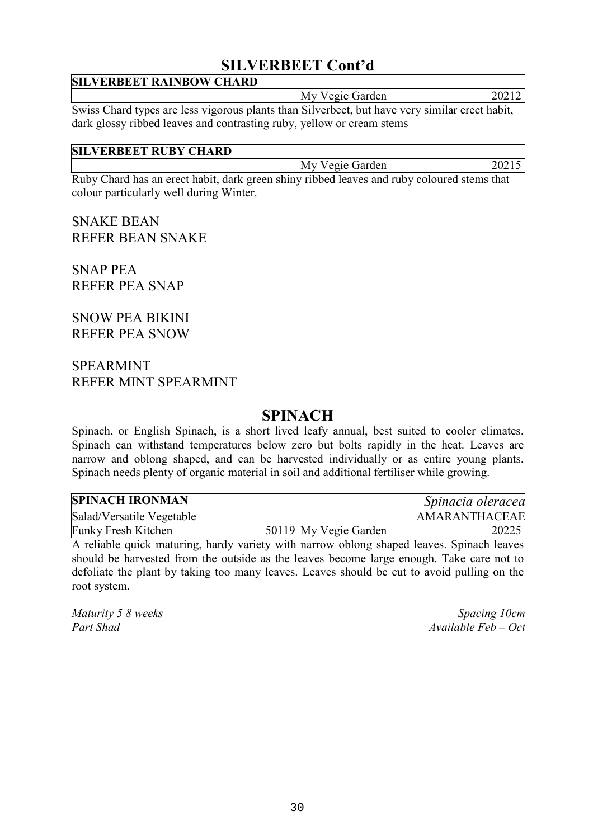## **SILVERBEET Cont'd**

| <b>SILVERBEET RAINBOW CHARD</b>                                                                |                 |       |
|------------------------------------------------------------------------------------------------|-----------------|-------|
|                                                                                                | My Vegie Garden | 20212 |
| Swiss Chard types are less vigorous plants than Silverbeet, but have very similar erect habit, |                 |       |

dark glossy ribbed leaves and contrasting ruby, yellow or cream stems

| <b>SIL</b><br><b>LVERBEET RUBY CHARD</b> |                              |
|------------------------------------------|------------------------------|
|                                          | Vegie Garden<br>20215<br>ıM. |

Ruby Chard has an erect habit, dark green shiny ribbed leaves and ruby coloured stems that colour particularly well during Winter.

SNAKE BEAN REFER BEAN SNAKE

SNAP PEA REFER PEA SNAP

SNOW PEA BIKINI REFER PEA SNOW

#### SPEARMINT REFER MINT SPEARMINT

## **SPINACH**

Spinach, or English Spinach, is a short lived leafy annual, best suited to cooler climates. Spinach can withstand temperatures below zero but bolts rapidly in the heat. Leaves are narrow and oblong shaped, and can be harvested individually or as entire young plants. Spinach needs plenty of organic material in soil and additional fertiliser while growing.

| <b>SPINACH IRONMAN</b>     |                       | Spinacia oleracea |
|----------------------------|-----------------------|-------------------|
| Salad/Versatile Vegetable  |                       | AMARANTHACEAE     |
| <b>Funky Fresh Kitchen</b> | 50119 My Vegie Garden | 20225             |

A reliable quick maturing, hardy variety with narrow oblong shaped leaves. Spinach leaves should be harvested from the outside as the leaves become large enough. Take care not to defoliate the plant by taking too many leaves. Leaves should be cut to avoid pulling on the root system.

*Maturity 5 8 weeks* Spacing 10cm *Part Shad Available Feb – Oct*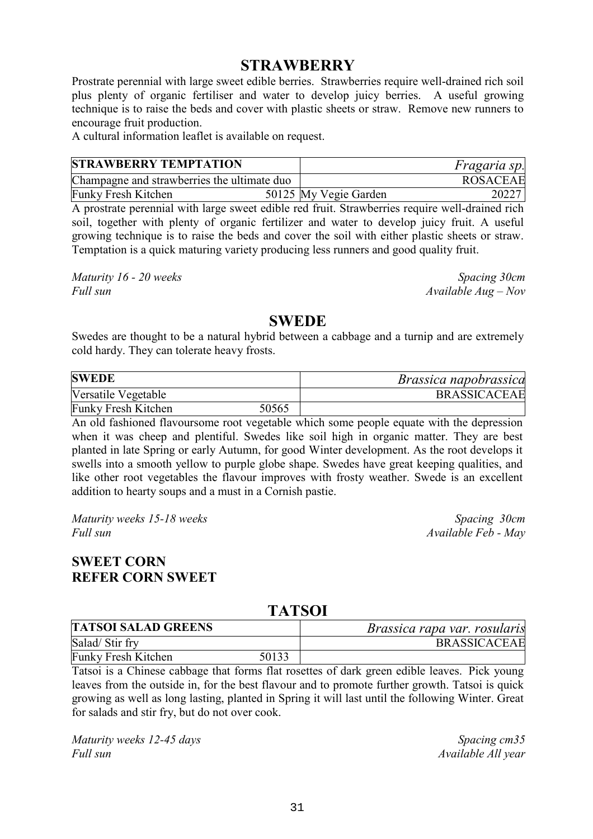#### **STRAWBERRY**

Prostrate perennial with large sweet edible berries. Strawberries require well-drained rich soil plus plenty of organic fertiliser and water to develop juicy berries. A useful growing technique is to raise the beds and cover with plastic sheets or straw. Remove new runners to encourage fruit production.

A cultural information leaflet is available on request.

| <b>STRAWBERRY TEMPTATION</b>                |  |                       | <i>Fragaria sp.</i> |
|---------------------------------------------|--|-----------------------|---------------------|
| Champagne and strawberries the ultimate duo |  |                       | <b>ROSACEAE</b>     |
| <b>Funky Fresh Kitchen</b>                  |  | 50125 My Vegie Garden | 20227               |

A prostrate perennial with large sweet edible red fruit. Strawberries require well-drained rich soil, together with plenty of organic fertilizer and water to develop juicy fruit. A useful growing technique is to raise the beds and cover the soil with either plastic sheets or straw. Temptation is a quick maturing variety producing less runners and good quality fruit.

*Maturity 16 - 20 weeks* Spacing 30cm *Full sun Available Aug – Nov*

#### **SWEDE**

Swedes are thought to be a natural hybrid between a cabbage and a turnip and are extremely cold hardy. They can tolerate heavy frosts.

| <b>SWEDE</b>               |       | <i>Brassica napobrassica</i> |
|----------------------------|-------|------------------------------|
| Versatile Vegetable        |       | <b>BRASSICACEAE</b>          |
| <b>Funky Fresh Kitchen</b> | 50565 |                              |

An old fashioned flavoursome root vegetable which some people equate with the depression when it was cheep and plentiful. Swedes like soil high in organic matter. They are best planted in late Spring or early Autumn, for good Winter development. As the root develops it swells into a smooth yellow to purple globe shape. Swedes have great keeping qualities, and like other root vegetables the flavour improves with frosty weather. Swede is an excellent addition to hearty soups and a must in a Cornish pastie.

*Maturity weeks 15-18 weeks*  $\mu$  *Maturity weeks 15-18 weeks Spacing 30cm Full sun Available Feb - May*

#### **SWEET CORN REFER CORN SWEET**

#### **TATSOI**

| <b>TATSOI SALAD GREENS</b> |       | <i>Brassica rapa var. rosularis</i> |  |
|----------------------------|-------|-------------------------------------|--|
| Salad/Stir fry             |       | <b>BRASSICACEAE</b>                 |  |
| <b>Funky Fresh Kitchen</b> | 50133 |                                     |  |

Tatsoi is a Chinese cabbage that forms flat rosettes of dark green edible leaves. Pick young leaves from the outside in, for the best flavour and to promote further growth. Tatsoi is quick growing as well as long lasting, planted in Spring it will last until the following Winter. Great for salads and stir fry, but do not over cook.

*Maturity weeks 12-45 days* Spacing cm35 *Full sun Available All year*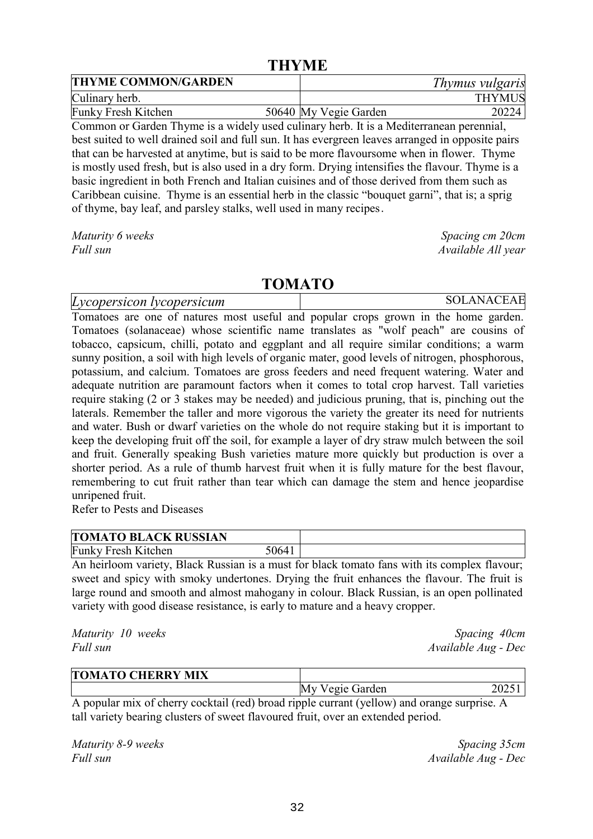#### **THYME**

| <b>THYME COMMON/GARDEN</b> |  | Thymus vulgaris       |               |
|----------------------------|--|-----------------------|---------------|
| Culinary herb.             |  |                       | <b>THYMUS</b> |
| Funky Fresh Kitchen        |  | 50640 My Vegie Garden | 20224         |

Common or Garden Thyme is a widely used culinary herb. It is a Mediterranean perennial, best suited to well drained soil and full sun. It has evergreen leaves arranged in opposite pairs that can be harvested at anytime, but is said to be more flavoursome when in flower. Thyme is mostly used fresh, but is also used in a dry form. Drying intensifies the flavour. Thyme is a basic ingredient in both French and Italian cuisines and of those derived from them such as Caribbean cuisine. Thyme is an essential herb in the classic "bouquet garni", that is; a sprig of thyme, bay leaf, and parsley stalks, well used in many recipes.

*Maturity 6 weeks* Spacing cm 20cm

*Full sun Available All year*

#### **TOMATO**

*Lycopersicon lycopersicum* SOLANACEAE Tomatoes are one of natures most useful and popular crops grown in the home garden. Tomatoes (solanaceae) whose scientific name translates as "wolf peach" are cousins of tobacco, capsicum, chilli, potato and eggplant and all require similar conditions; a warm sunny position, a soil with high levels of organic mater, good levels of nitrogen, phosphorous, potassium, and calcium. Tomatoes are gross feeders and need frequent watering. Water and adequate nutrition are paramount factors when it comes to total crop harvest. Tall varieties require staking (2 or 3 stakes may be needed) and judicious pruning, that is, pinching out the laterals. Remember the taller and more vigorous the variety the greater its need for nutrients and water. Bush or dwarf varieties on the whole do not require staking but it is important to keep the developing fruit off the soil, for example a layer of dry straw mulch between the soil and fruit. Generally speaking Bush varieties mature more quickly but production is over a shorter period. As a rule of thumb harvest fruit when it is fully mature for the best flavour, remembering to cut fruit rather than tear which can damage the stem and hence jeopardise unripened fruit.

Refer to Pests and Diseases

| <b>TOMATO BLACK RUSSIAN</b> |      |  |
|-----------------------------|------|--|
| <b>Funky Fresh Kitchen</b>  | 0641 |  |

An heirloom variety, Black Russian is a must for black tomato fans with its complex flavour; sweet and spicy with smoky undertones. Drying the fruit enhances the flavour. The fruit is large round and smooth and almost mahogany in colour. Black Russian, is an open pollinated variety with good disease resistance, is early to mature and a heavy cropper.

*Maturity 10 weeks* Spacing 40cm *Full sun Available Aug - Dec*

|  | <b>TOMATO CHERRY MIX</b> |                   |  |  |
|--|--------------------------|-------------------|--|--|
|  |                          | M<br>'egie Garden |  |  |
|  |                          |                   |  |  |

A popular mix of cherry cocktail (red) broad ripple currant (yellow) and orange surprise. A tall variety bearing clusters of sweet flavoured fruit, over an extended period.

*Maturity 8-9 weeks* Spacing 35cm *Full sun Available Aug - Dec*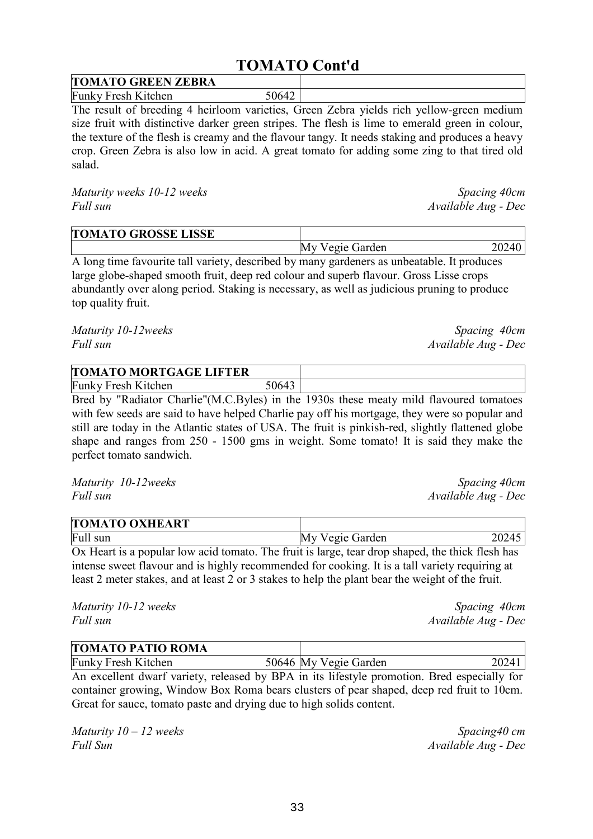## **TOMATO Cont'd**

| <b>TOMATO GREEN ZEBRA</b>  |      |  |
|----------------------------|------|--|
| <b>Funky Fresh Kitchen</b> | 0642 |  |

The result of breeding 4 heirloom varieties, Green Zebra yields rich yellow-green medium size fruit with distinctive darker green stripes. The flesh is lime to emerald green in colour, the texture of the flesh is creamy and the flavour tangy. It needs staking and produces a heavy crop. Green Zebra is also low in acid. A great tomato for adding some zing to that tired old salad.

*Maturity weeks 10-12 weeks* Spacing 40cm *Full sun Available Aug - Dec*

| <b>TOMATO GROSSE LISSE</b> |                 |       |
|----------------------------|-----------------|-------|
|                            | My Vegie Garden | 20240 |

A long time favourite tall variety, described by many gardeners as unbeatable. It produces large globe-shaped smooth fruit, deep red colour and superb flavour. Gross Lisse crops abundantly over along period. Staking is necessary, as well as judicious pruning to produce top quality fruit.

*Maturity 10-12weeks Spacing 40cm Full sun Available Aug - Dec*

| <b>TOMATO MORTGAGE LIFTER</b> |               |  |
|-------------------------------|---------------|--|
| Funky Fresh Kitchen           | $064^{\circ}$ |  |

Bred by "Radiator Charlie"(M.C.Byles) in the 1930s these meaty mild flavoured tomatoes with few seeds are said to have helped Charlie pay off his mortgage, they were so popular and still are today in the Atlantic states of USA. The fruit is pinkish-red, slightly flattened globe shape and ranges from 250 - 1500 gms in weight. Some tomato! It is said they make the perfect tomato sandwich.

*Maturity 10-12weeks Spacing 40cm Full sun Available Aug - Dec*

| <b>TOMATO OXHEART</b> |                 |       |
|-----------------------|-----------------|-------|
| Full sun              | My Vegie Garden | 20245 |

Ox Heart is a popular low acid tomato. The fruit is large, tear drop shaped, the thick flesh has intense sweet flavour and is highly recommended for cooking. It is a tall variety requiring at least 2 meter stakes, and at least 2 or 3 stakes to help the plant bear the weight of the fruit.

*Maturity 10-12 weeks* Spacing 40cm *Full sun Available Aug - Dec*

| <b>TOMATO PATIO ROMA</b>   |                       |       |
|----------------------------|-----------------------|-------|
| <b>Funky Fresh Kitchen</b> | 50646 My Vegie Garden | 20241 |

An excellent dwarf variety, released by BPA in its lifestyle promotion. Bred especially for container growing, Window Box Roma bears clusters of pear shaped, deep red fruit to 10cm. Great for sauce, tomato paste and drying due to high solids content.

*Maturity 10 – 12 weeks* Spacing40 *cm Full Sun Available Aug - Dec*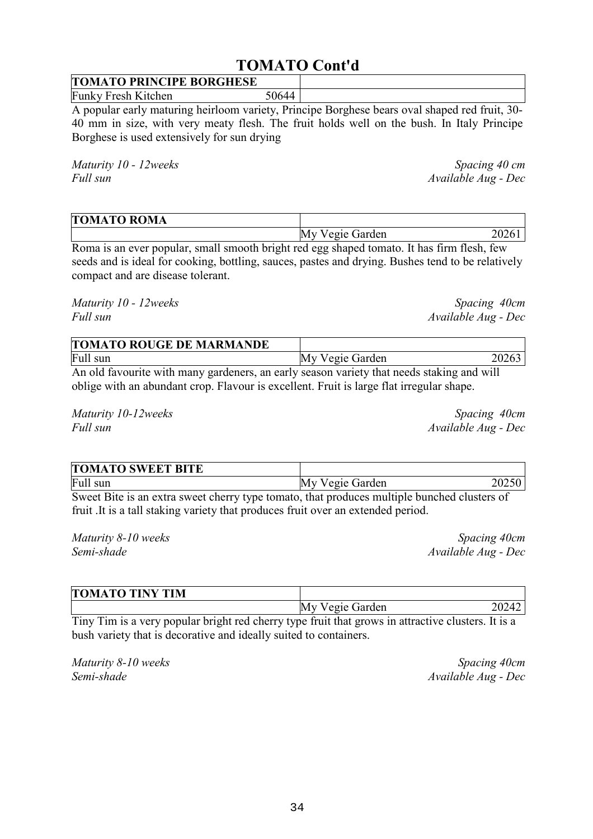# 34

## **TOMATO Cont'd**

#### **TOMATO PRINCIPE BORGHESE**  Funky Fresh Kitchen 50644

A popular early maturing heirloom variety, Principe Borghese bears oval shaped red fruit, 30- 40 mm in size, with very meaty flesh. The fruit holds well on the bush. In Italy Principe Borghese is used extensively for sun drying

*Maturity 10 - 12weeks* Spacing 40 cm *Full sun Available Aug - Dec*

| <b>TOMATO ROMA</b> |                    |  |
|--------------------|--------------------|--|
|                    | 'egie Garden<br>Mv |  |

Roma is an ever popular, small smooth bright red egg shaped tomato. It has firm flesh, few seeds and is ideal for cooking, bottling, sauces, pastes and drying. Bushes tend to be relatively compact and are disease tolerant.

*Maturity 10 - 12weeks* Spacing 40cm *Full sun Available Aug - Dec*

| <b>TOMATO ROUGE DE MARMANDE</b>                                                             |                 |       |
|---------------------------------------------------------------------------------------------|-----------------|-------|
| Full sun                                                                                    | My Vegie Garden | 20263 |
| An ald forwarite with mour condensus as souly essessy veniety that needs at laters and will |                 |       |

An old favourite with many gardeners, an early season variety that needs staking and will oblige with an abundant crop. Flavour is excellent. Fruit is large flat irregular shape.

*Maturity 10-12weeks Spacing 40cm Full sun Available Aug - Dec*

| <b>TOMATO SWEET BITE</b>                                                                                        |                 |  |
|-----------------------------------------------------------------------------------------------------------------|-----------------|--|
| Full sun                                                                                                        | My Vegie Garden |  |
| the contract of the contract of the contract of the contract of the contract of the contract of the contract of | .               |  |

Sweet Bite is an extra sweet cherry type tomato, that produces multiple bunched clusters of fruit .It is a tall staking variety that produces fruit over an extended period.

*Maturity 8-10 weeks* Spacing 40cm *Semi-shade Available Aug - Dec*

|     |       | <b>TOMATO TINY TIM</b> |  |   |  |  |  |   |                 |  |  |       |
|-----|-------|------------------------|--|---|--|--|--|---|-----------------|--|--|-------|
|     |       |                        |  |   |  |  |  |   | My Vegie Garden |  |  | 20242 |
| $-$ | $- -$ |                        |  | . |  |  |  | . |                 |  |  |       |

Tiny Tim is a very popular bright red cherry type fruit that grows in attractive clusters. It is a bush variety that is decorative and ideally suited to containers.

*Maturity 8-10 weeks* Spacing 40cm *Semi-shade Available Aug - Dec*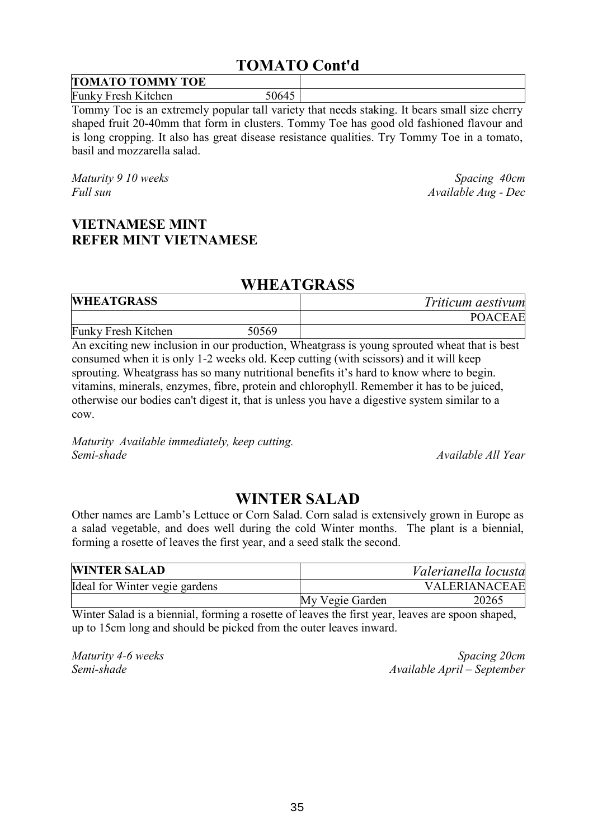## **TOMATO Cont'd**

| <b>TOMATO TOMMY TOE</b>    |      |  |
|----------------------------|------|--|
| <b>Funky Fresh Kitchen</b> | ነባና⊿ |  |

Tommy Toe is an extremely popular tall variety that needs staking. It bears small size cherry shaped fruit 20-40mm that form in clusters. Tommy Toe has good old fashioned flavour and is long cropping. It also has great disease resistance qualities. Try Tommy Toe in a tomato, basil and mozzarella salad.

*Maturity 9 10 weeks* Spacing 40cm *Full sun Available Aug - Dec*

#### **VIETNAMESE MINT REFER MINT VIETNAMESE**

#### **WHEATGRASS**

| <b>WHEATGRASS</b>          |       | Triticum aestivum |  |
|----------------------------|-------|-------------------|--|
|                            |       | <b>POACEAE</b>    |  |
| <b>Funky Fresh Kitchen</b> | 50569 |                   |  |

An exciting new inclusion in our production, Wheatgrass is young sprouted wheat that is best consumed when it is only 1-2 weeks old. Keep cutting (with scissors) and it will keep sprouting. Wheatgrass has so many nutritional benefits it's hard to know where to begin. vitamins, minerals, enzymes, fibre, protein and chlorophyll. Remember it has to be juiced, otherwise our bodies can't digest it, that is unless you have a digestive system similar to a cow.

*Maturity Available immediately, keep cutting. Semi-shade Available All Year*

#### **WINTER SALAD**

Other names are Lamb's Lettuce or Corn Salad. Corn salad is extensively grown in Europe as a salad vegetable, and does well during the cold Winter months. The plant is a biennial, forming a rosette of leaves the first year, and a seed stalk the second.

| <b>WINTER SALAD</b>            |                 | Valerianella locusta |  |
|--------------------------------|-----------------|----------------------|--|
| Ideal for Winter vegie gardens |                 | VALERIANACEAE        |  |
|                                | My Vegie Garden | 20265                |  |

Winter Salad is a biennial, forming a rosette of leaves the first year, leaves are spoon shaped, up to 15cm long and should be picked from the outer leaves inward.

*Maturity 4-6 weeks* Spacing 20cm *Semi-shade Available April – September*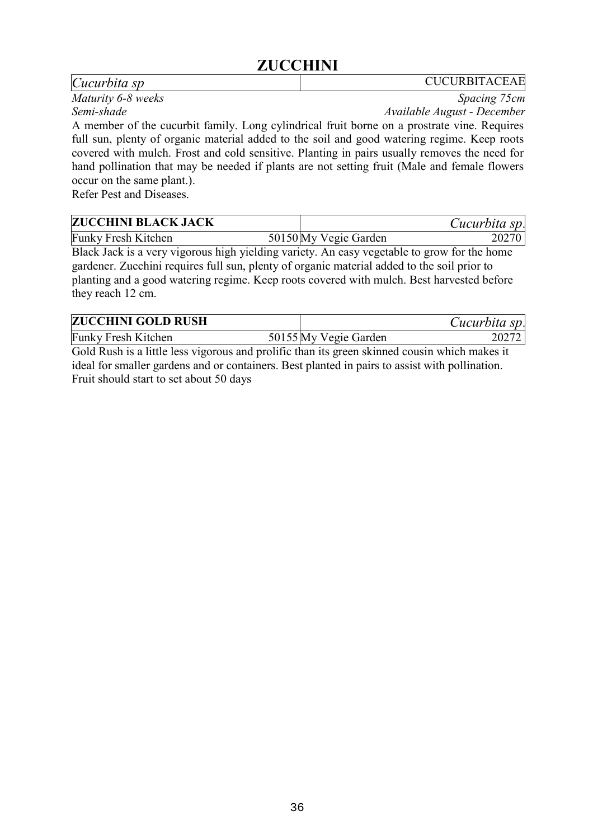## **ZUCCHINI**

#### *Cucurbita sp* CUCURBITACEAE

*Maturity 6-8 weeks* Spacing 75cm *Semi-shade Available August - December*

A member of the cucurbit family. Long cylindrical fruit borne on a prostrate vine. Requires full sun, plenty of organic material added to the soil and good watering regime. Keep roots covered with mulch. Frost and cold sensitive. Planting in pairs usually removes the need for hand pollination that may be needed if plants are not setting fruit (Male and female flowers occur on the same plant.).

Refer Pest and Diseases.

| <b>ZUCCHINI BLACK JACK</b> |                       | Cucurbita sp. |
|----------------------------|-----------------------|---------------|
| <b>Funky Fresh Kitchen</b> | 50150 My Vegie Garden | 20270         |

Black Jack is a very vigorous high yielding variety. An easy vegetable to grow for the home gardener. Zucchini requires full sun, plenty of organic material added to the soil prior to planting and a good watering regime. Keep roots covered with mulch. Best harvested before they reach 12 cm.

| <b>ZUCCHINI GOLD RUSH</b>  |                       | Cucurbita sp. |
|----------------------------|-----------------------|---------------|
| <b>Funky Fresh Kitchen</b> | 50155 My Vegie Garden |               |

Gold Rush is a little less vigorous and prolific than its green skinned cousin which makes it ideal for smaller gardens and or containers. Best planted in pairs to assist with pollination. Fruit should start to set about 50 days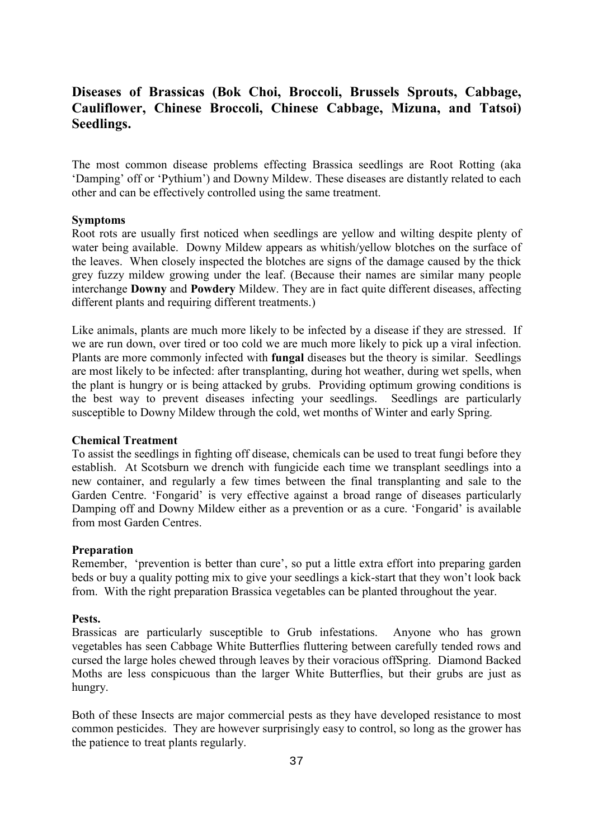#### **Diseases of Brassicas (Bok Choi, Broccoli, Brussels Sprouts, Cabbage, Cauliflower, Chinese Broccoli, Chinese Cabbage, Mizuna, and Tatsoi) Seedlings.**

The most common disease problems effecting Brassica seedlings are Root Rotting (aka 'Damping' off or 'Pythium') and Downy Mildew. These diseases are distantly related to each other and can be effectively controlled using the same treatment.

#### **Symptoms**

Root rots are usually first noticed when seedlings are yellow and wilting despite plenty of water being available. Downy Mildew appears as whitish/yellow blotches on the surface of the leaves. When closely inspected the blotches are signs of the damage caused by the thick grey fuzzy mildew growing under the leaf. (Because their names are similar many people interchange **Downy** and **Powdery** Mildew. They are in fact quite different diseases, affecting different plants and requiring different treatments.)

Like animals, plants are much more likely to be infected by a disease if they are stressed. If we are run down, over tired or too cold we are much more likely to pick up a viral infection. Plants are more commonly infected with **fungal** diseases but the theory is similar. Seedlings are most likely to be infected: after transplanting, during hot weather, during wet spells, when the plant is hungry or is being attacked by grubs. Providing optimum growing conditions is the best way to prevent diseases infecting your seedlings. Seedlings are particularly susceptible to Downy Mildew through the cold, wet months of Winter and early Spring.

#### **Chemical Treatment**

To assist the seedlings in fighting off disease, chemicals can be used to treat fungi before they establish. At Scotsburn we drench with fungicide each time we transplant seedlings into a new container, and regularly a few times between the final transplanting and sale to the Garden Centre. 'Fongarid' is very effective against a broad range of diseases particularly Damping off and Downy Mildew either as a prevention or as a cure. 'Fongarid' is available from most Garden Centres.

#### **Preparation**

Remember, 'prevention is better than cure', so put a little extra effort into preparing garden beds or buy a quality potting mix to give your seedlings a kick-start that they won't look back from. With the right preparation Brassica vegetables can be planted throughout the year.

#### **Pests.**

Brassicas are particularly susceptible to Grub infestations. Anyone who has grown vegetables has seen Cabbage White Butterflies fluttering between carefully tended rows and cursed the large holes chewed through leaves by their voracious offSpring. Diamond Backed Moths are less conspicuous than the larger White Butterflies, but their grubs are just as hungry.

Both of these Insects are major commercial pests as they have developed resistance to most common pesticides. They are however surprisingly easy to control, so long as the grower has the patience to treat plants regularly.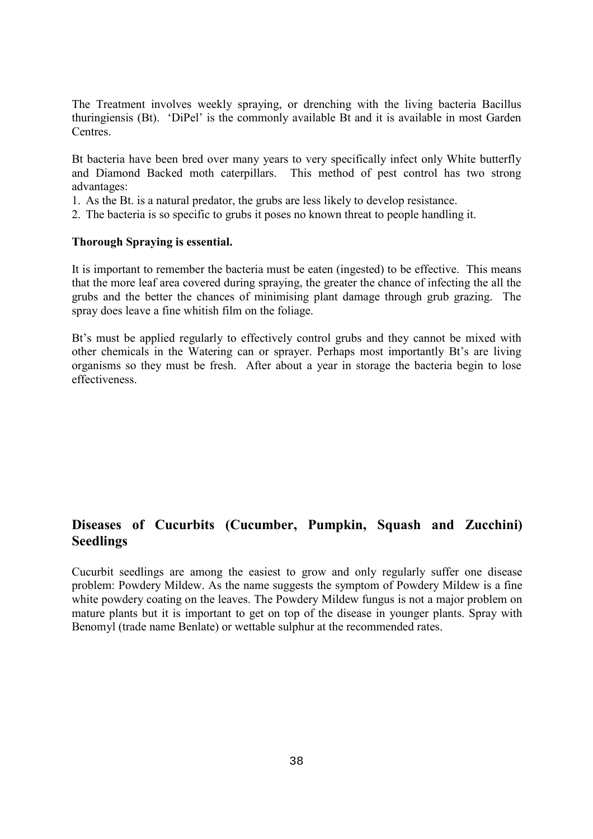The Treatment involves weekly spraying, or drenching with the living bacteria Bacillus thuringiensis (Bt). 'DiPel' is the commonly available Bt and it is available in most Garden **Centres** 

Bt bacteria have been bred over many years to very specifically infect only White butterfly and Diamond Backed moth caterpillars. This method of pest control has two strong advantages:

- 1. As the Bt. is a natural predator, the grubs are less likely to develop resistance.
- 2. The bacteria is so specific to grubs it poses no known threat to people handling it.

#### **Thorough Spraying is essential.**

It is important to remember the bacteria must be eaten (ingested) to be effective. This means that the more leaf area covered during spraying, the greater the chance of infecting the all the grubs and the better the chances of minimising plant damage through grub grazing. The spray does leave a fine whitish film on the foliage.

Bt's must be applied regularly to effectively control grubs and they cannot be mixed with other chemicals in the Watering can or sprayer. Perhaps most importantly Bt's are living organisms so they must be fresh. After about a year in storage the bacteria begin to lose effectiveness.

#### **Diseases of Cucurbits (Cucumber, Pumpkin, Squash and Zucchini) Seedlings**

Cucurbit seedlings are among the easiest to grow and only regularly suffer one disease problem: Powdery Mildew. As the name suggests the symptom of Powdery Mildew is a fine white powdery coating on the leaves. The Powdery Mildew fungus is not a major problem on mature plants but it is important to get on top of the disease in younger plants. Spray with Benomyl (trade name Benlate) or wettable sulphur at the recommended rates.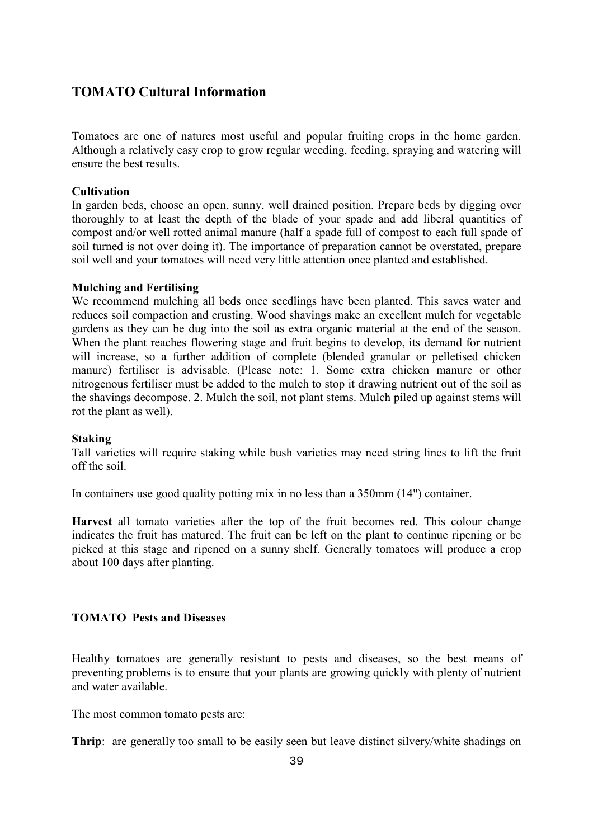#### **TOMATO Cultural Information**

Tomatoes are one of natures most useful and popular fruiting crops in the home garden. Although a relatively easy crop to grow regular weeding, feeding, spraying and watering will ensure the best results.

#### **Cultivation**

In garden beds, choose an open, sunny, well drained position. Prepare beds by digging over thoroughly to at least the depth of the blade of your spade and add liberal quantities of compost and/or well rotted animal manure (half a spade full of compost to each full spade of soil turned is not over doing it). The importance of preparation cannot be overstated, prepare soil well and your tomatoes will need very little attention once planted and established.

#### **Mulching and Fertilising**

We recommend mulching all beds once seedlings have been planted. This saves water and reduces soil compaction and crusting. Wood shavings make an excellent mulch for vegetable gardens as they can be dug into the soil as extra organic material at the end of the season. When the plant reaches flowering stage and fruit begins to develop, its demand for nutrient will increase, so a further addition of complete (blended granular or pelletised chicken manure) fertiliser is advisable. (Please note: 1. Some extra chicken manure or other nitrogenous fertiliser must be added to the mulch to stop it drawing nutrient out of the soil as the shavings decompose. 2. Mulch the soil, not plant stems. Mulch piled up against stems will rot the plant as well).

#### **Staking**

Tall varieties will require staking while bush varieties may need string lines to lift the fruit off the soil.

In containers use good quality potting mix in no less than a 350mm (14") container.

**Harvest** all tomato varieties after the top of the fruit becomes red. This colour change indicates the fruit has matured. The fruit can be left on the plant to continue ripening or be picked at this stage and ripened on a sunny shelf. Generally tomatoes will produce a crop about 100 days after planting.

#### **TOMATO Pests and Diseases**

Healthy tomatoes are generally resistant to pests and diseases, so the best means of preventing problems is to ensure that your plants are growing quickly with plenty of nutrient and water available.

The most common tomato pests are:

**Thrip**: are generally too small to be easily seen but leave distinct silvery/white shadings on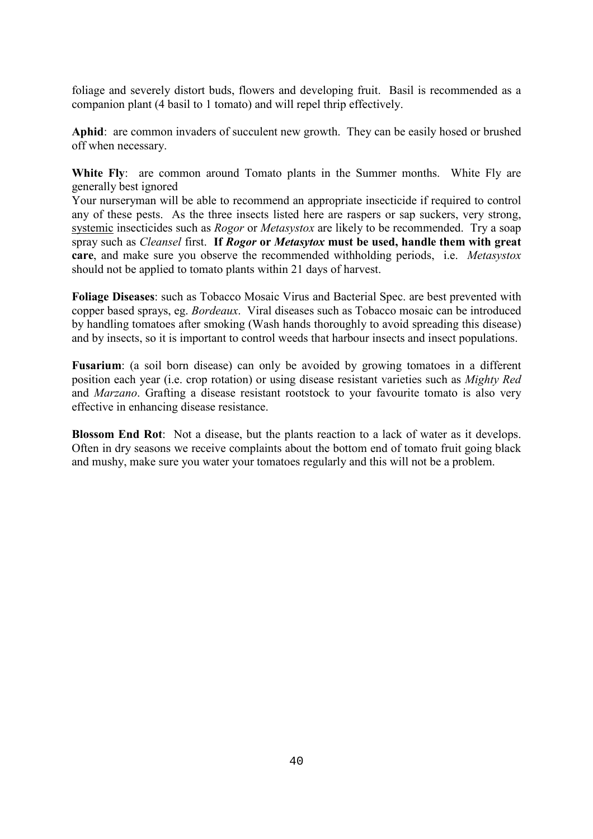foliage and severely distort buds, flowers and developing fruit. Basil is recommended as a companion plant (4 basil to 1 tomato) and will repel thrip effectively.

**Aphid**: are common invaders of succulent new growth. They can be easily hosed or brushed off when necessary.

White Fly: are common around Tomato plants in the Summer months. White Fly are generally best ignored

Your nurseryman will be able to recommend an appropriate insecticide if required to control any of these pests. As the three insects listed here are raspers or sap suckers, very strong, systemic insecticides such as *Rogor* or *Metasystox* are likely to be recommended. Try a soap spray such as *Cleansel* first. **If** *Rogor* **or** *Metasytox* **must be used, handle them with great care**, and make sure you observe the recommended withholding periods, i.e. *Metasystox* should not be applied to tomato plants within 21 days of harvest.

**Foliage Diseases**: such as Tobacco Mosaic Virus and Bacterial Spec. are best prevented with copper based sprays, eg. *Bordeaux*. Viral diseases such as Tobacco mosaic can be introduced by handling tomatoes after smoking (Wash hands thoroughly to avoid spreading this disease) and by insects, so it is important to control weeds that harbour insects and insect populations.

**Fusarium**: (a soil born disease) can only be avoided by growing tomatoes in a different position each year (i.e. crop rotation) or using disease resistant varieties such as *Mighty Red* and *Marzano*. Grafting a disease resistant rootstock to your favourite tomato is also very effective in enhancing disease resistance.

**Blossom End Rot**: Not a disease, but the plants reaction to a lack of water as it develops. Often in dry seasons we receive complaints about the bottom end of tomato fruit going black and mushy, make sure you water your tomatoes regularly and this will not be a problem.